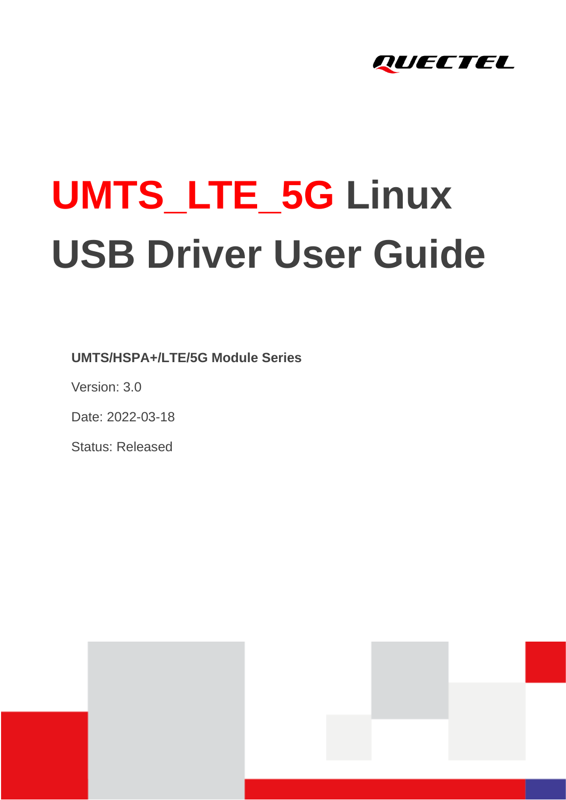

# **UMTS\_LTE\_5G Linux USB Driver User Guide**

**UMTS/HSPA+/LTE/5G Module Series**

Version: 3.0

Date: 2022-03-18

Status: Released



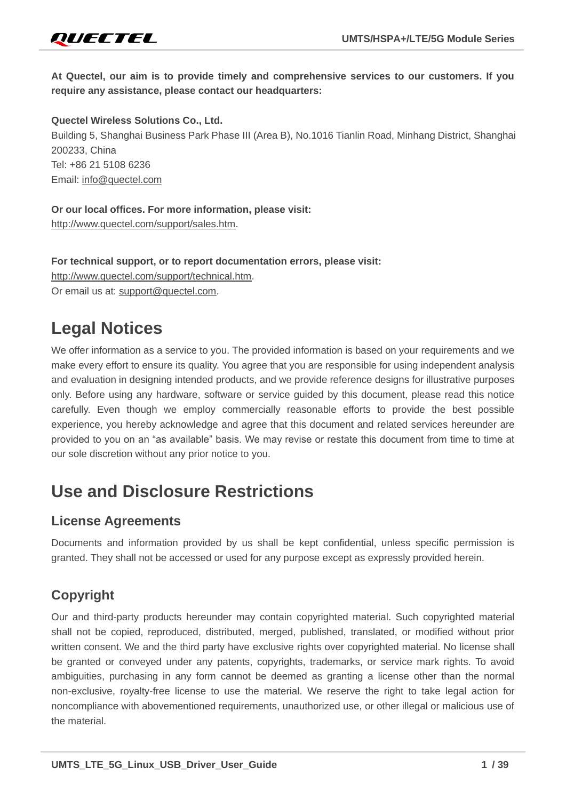

**At Quectel, our aim is to provide timely and comprehensive services to our customers. If you require any assistance, please contact our headquarters:**

**Quectel Wireless Solutions Co., Ltd.** 

Building 5, Shanghai Business Park Phase III (Area B), No.1016 Tianlin Road, Minhang District, Shanghai 200233, China Tel: +86 21 5108 6236 Email: [info@quectel.com](mailto:info@quectel.com)

**Or our local offices. For more information, please visit:** 

[http://www.quectel.com/support/sales.htm.](http://www.quectel.com/support/sales.htm)

**For technical support, or to report documentation errors, please visit:** [http://www.quectel.com/support/technical.htm.](http://www.quectel.com/support/technical.htm) Or email us at: [support@quectel.com.](mailto:support@quectel.com)

# **Legal Notices**

We offer information as a service to you. The provided information is based on your requirements and we make every effort to ensure its quality. You agree that you are responsible for using independent analysis and evaluation in designing intended products, and we provide reference designs for illustrative purposes only. Before using any hardware, software or service guided by this document, please read this notice carefully. Even though we employ commercially reasonable efforts to provide the best possible experience, you hereby acknowledge and agree that this document and related services hereunder are provided to you on an "as available" basis. We may revise or restate this document from time to time at our sole discretion without any prior notice to you.

# **Use and Disclosure Restrictions**

### **License Agreements**

Documents and information provided by us shall be kept confidential, unless specific permission is granted. They shall not be accessed or used for any purpose except as expressly provided herein.

# **Copyright**

Our and third-party products hereunder may contain copyrighted material. Such copyrighted material shall not be copied, reproduced, distributed, merged, published, translated, or modified without prior written consent. We and the third party have exclusive rights over copyrighted material. No license shall be granted or conveyed under any patents, copyrights, trademarks, or service mark rights. To avoid ambiguities, purchasing in any form cannot be deemed as granting a license other than the normal non-exclusive, royalty-free license to use the material. We reserve the right to take legal action for noncompliance with abovementioned requirements, unauthorized use, or other illegal or malicious use of the material.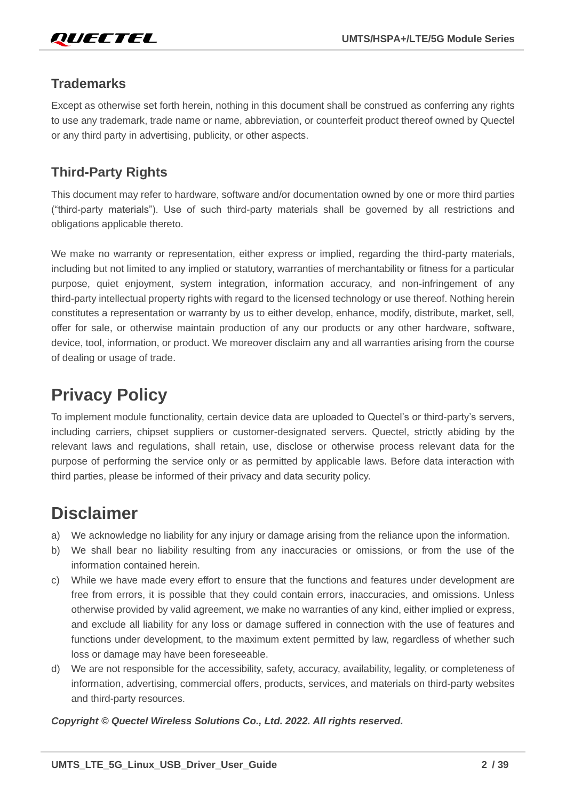

### **Trademarks**

Except as otherwise set forth herein, nothing in this document shall be construed as conferring any rights to use any trademark, trade name or name, abbreviation, or counterfeit product thereof owned by Quectel or any third party in advertising, publicity, or other aspects.

# **Third-Party Rights**

This document may refer to hardware, software and/or documentation owned by one or more third parties ("third-party materials"). Use of such third-party materials shall be governed by all restrictions and obligations applicable thereto.

We make no warranty or representation, either express or implied, regarding the third-party materials, including but not limited to any implied or statutory, warranties of merchantability or fitness for a particular purpose, quiet enjoyment, system integration, information accuracy, and non-infringement of any third-party intellectual property rights with regard to the licensed technology or use thereof. Nothing herein constitutes a representation or warranty by us to either develop, enhance, modify, distribute, market, sell, offer for sale, or otherwise maintain production of any our products or any other hardware, software, device, tool, information, or product. We moreover disclaim any and all warranties arising from the course of dealing or usage of trade.

# **Privacy Policy**

To implement module functionality, certain device data are uploaded to Quectel's or third-party's servers, including carriers, chipset suppliers or customer-designated servers. Quectel, strictly abiding by the relevant laws and regulations, shall retain, use, disclose or otherwise process relevant data for the purpose of performing the service only or as permitted by applicable laws. Before data interaction with third parties, please be informed of their privacy and data security policy.

# **Disclaimer**

- a) We acknowledge no liability for any injury or damage arising from the reliance upon the information.
- b) We shall bear no liability resulting from any inaccuracies or omissions, or from the use of the information contained herein.
- c) While we have made every effort to ensure that the functions and features under development are free from errors, it is possible that they could contain errors, inaccuracies, and omissions. Unless otherwise provided by valid agreement, we make no warranties of any kind, either implied or express, and exclude all liability for any loss or damage suffered in connection with the use of features and functions under development, to the maximum extent permitted by law, regardless of whether such loss or damage may have been foreseeable.
- d) We are not responsible for the accessibility, safety, accuracy, availability, legality, or completeness of information, advertising, commercial offers, products, services, and materials on third-party websites and third-party resources.

*Copyright © Quectel Wireless Solutions Co., Ltd. 2022. All rights reserved.*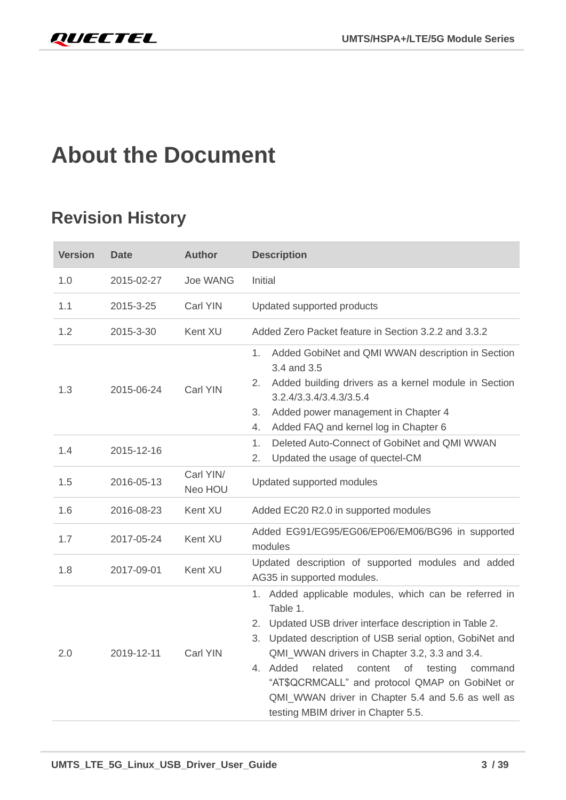# <span id="page-3-0"></span>**About the Document**

# **Revision History**

| <b>Version</b> | <b>Date</b> | <b>Author</b>        | <b>Description</b>                                                                                                                                                                                                                                                                                                                                                                                                                                       |  |  |
|----------------|-------------|----------------------|----------------------------------------------------------------------------------------------------------------------------------------------------------------------------------------------------------------------------------------------------------------------------------------------------------------------------------------------------------------------------------------------------------------------------------------------------------|--|--|
| 1.0            | 2015-02-27  | <b>Joe WANG</b>      | Initial                                                                                                                                                                                                                                                                                                                                                                                                                                                  |  |  |
| 1.1            | 2015-3-25   | Carl YIN             | Updated supported products                                                                                                                                                                                                                                                                                                                                                                                                                               |  |  |
| 1.2            | 2015-3-30   | Kent XU              | Added Zero Packet feature in Section 3.2.2 and 3.3.2                                                                                                                                                                                                                                                                                                                                                                                                     |  |  |
| 1.3            | 2015-06-24  | Carl YIN             | Added GobiNet and QMI WWAN description in Section<br>1.<br>3.4 and 3.5<br>Added building drivers as a kernel module in Section<br>2.<br>3.2.4/3.3.4/3.4.3/3.5.4<br>Added power management in Chapter 4<br>3.<br>Added FAQ and kernel log in Chapter 6<br>4.                                                                                                                                                                                              |  |  |
| 1.4            | 2015-12-16  |                      | Deleted Auto-Connect of GobiNet and QMI WWAN<br>1.<br>2.<br>Updated the usage of quectel-CM                                                                                                                                                                                                                                                                                                                                                              |  |  |
| 1.5            | 2016-05-13  | Carl YIN/<br>Neo HOU | Updated supported modules                                                                                                                                                                                                                                                                                                                                                                                                                                |  |  |
| 1.6            | 2016-08-23  | Kent XU              | Added EC20 R2.0 in supported modules                                                                                                                                                                                                                                                                                                                                                                                                                     |  |  |
| 1.7            | 2017-05-24  | Kent XU              | Added EG91/EG95/EG06/EP06/EM06/BG96 in supported<br>modules                                                                                                                                                                                                                                                                                                                                                                                              |  |  |
| 1.8            | 2017-09-01  | Kent XU              | Updated description of supported modules and added<br>AG35 in supported modules.                                                                                                                                                                                                                                                                                                                                                                         |  |  |
| 2.0            | 2019-12-11  | Carl YIN             | 1. Added applicable modules, which can be referred in<br>Table 1.<br>2. Updated USB driver interface description in Table 2.<br>3. Updated description of USB serial option, GobiNet and<br>QMI_WWAN drivers in Chapter 3.2, 3.3 and 3.4.<br>Added<br>related<br>content<br>4.<br>testing<br>οf<br>command<br>"AT\$QCRMCALL" and protocol QMAP on GobiNet or<br>QMI_WWAN driver in Chapter 5.4 and 5.6 as well as<br>testing MBIM driver in Chapter 5.5. |  |  |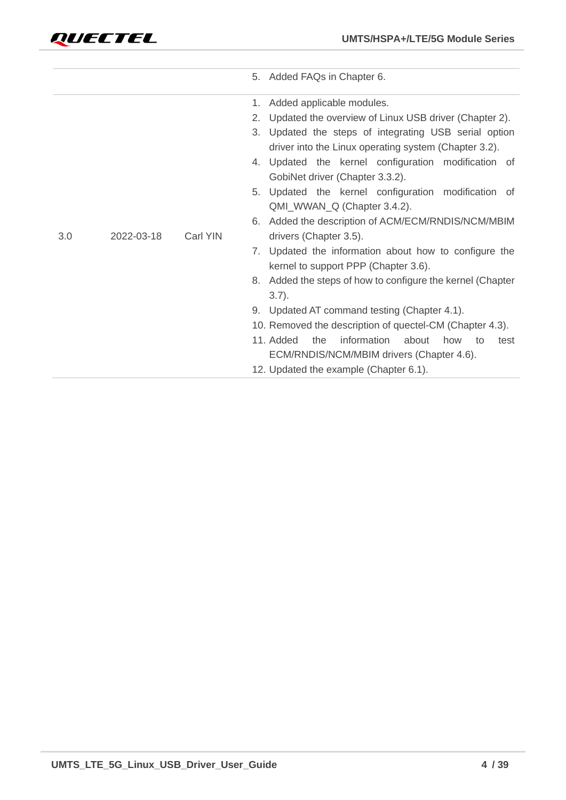

|     |            |          | 5. Added FAQs in Chapter 6.                                   |
|-----|------------|----------|---------------------------------------------------------------|
|     |            |          | Added applicable modules.<br>1.                               |
|     |            |          | 2.<br>Updated the overview of Linux USB driver (Chapter 2).   |
|     |            |          | 3.<br>Updated the steps of integrating USB serial option      |
|     |            |          | driver into the Linux operating system (Chapter 3.2).         |
|     |            |          | Updated the kernel configuration modification of<br>4.        |
|     |            |          | GobiNet driver (Chapter 3.3.2).                               |
|     |            |          | 5. Updated the kernel configuration modification of           |
|     |            |          | QMI_WWAN_Q (Chapter 3.4.2).                                   |
|     |            |          | Added the description of ACM/ECM/RNDIS/NCM/MBIM<br>6.         |
| 3.0 | 2022-03-18 | Carl YIN | drivers (Chapter 3.5).                                        |
|     |            |          | Updated the information about how to configure the<br>7.      |
|     |            |          | kernel to support PPP (Chapter 3.6).                          |
|     |            |          | 8. Added the steps of how to configure the kernel (Chapter    |
|     |            |          | $3.7$ ).                                                      |
|     |            |          | 9. Updated AT command testing (Chapter 4.1).                  |
|     |            |          | 10. Removed the description of quectel-CM (Chapter 4.3).      |
|     |            |          | 11. Added<br>information<br>the<br>about<br>how<br>to<br>test |
|     |            |          | ECM/RNDIS/NCM/MBIM drivers (Chapter 4.6).                     |
|     |            |          | 12. Updated the example (Chapter 6.1).                        |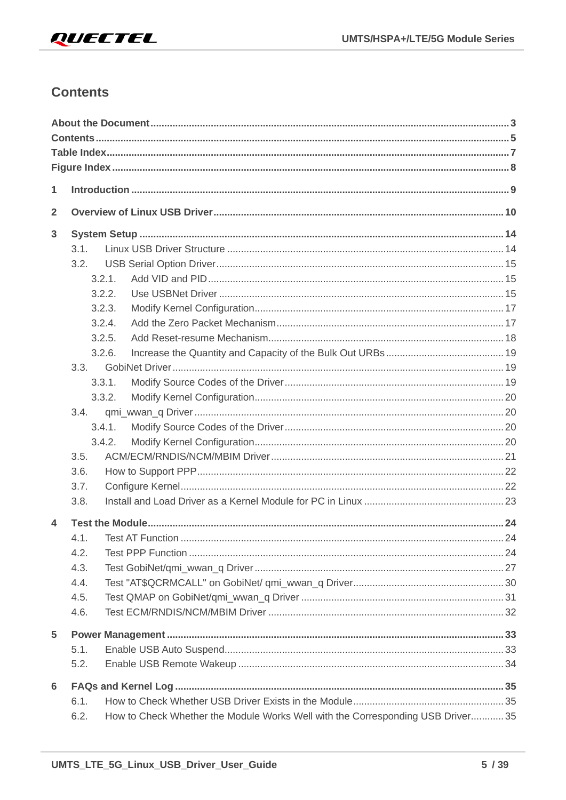# <span id="page-5-0"></span>**Contents**

| 1              |        |                                                                                 |  |
|----------------|--------|---------------------------------------------------------------------------------|--|
| $\overline{2}$ |        |                                                                                 |  |
| 3              |        |                                                                                 |  |
|                | 3.1.   |                                                                                 |  |
|                | 3.2.   |                                                                                 |  |
|                | 3.2.1. |                                                                                 |  |
|                | 3.2.2. |                                                                                 |  |
|                | 3.2.3. |                                                                                 |  |
|                | 3.2.4. |                                                                                 |  |
|                | 3.2.5. |                                                                                 |  |
|                | 3.2.6. |                                                                                 |  |
|                | 3.3.   |                                                                                 |  |
|                | 3.3.1. |                                                                                 |  |
|                | 3.3.2. |                                                                                 |  |
|                | 3.4.   |                                                                                 |  |
|                | 3.4.1. |                                                                                 |  |
|                | 3.4.2. |                                                                                 |  |
|                | 3.5.   |                                                                                 |  |
|                | 3.6.   |                                                                                 |  |
|                | 3.7.   |                                                                                 |  |
|                | 3.8.   |                                                                                 |  |
| 4              |        |                                                                                 |  |
|                | 4.1.   |                                                                                 |  |
|                | 4.2.   |                                                                                 |  |
|                | 4.3.   |                                                                                 |  |
|                | 4.4.   |                                                                                 |  |
|                | 4.5.   |                                                                                 |  |
|                | 4.6.   |                                                                                 |  |
| 5              |        |                                                                                 |  |
|                | 5.1.   |                                                                                 |  |
|                | 5.2.   |                                                                                 |  |
| 6              |        |                                                                                 |  |
|                | 6.1.   |                                                                                 |  |
|                | 6.2.   | How to Check Whether the Module Works Well with the Corresponding USB Driver 35 |  |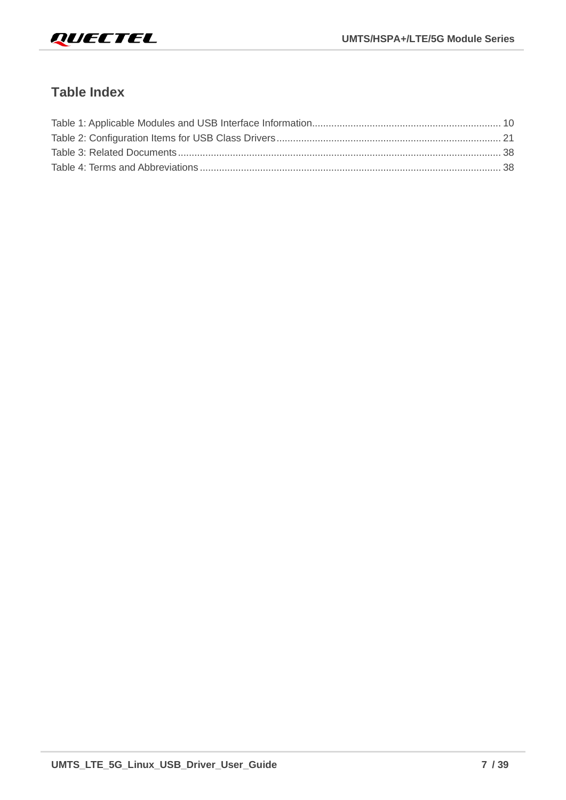

# <span id="page-7-0"></span>**Table Index**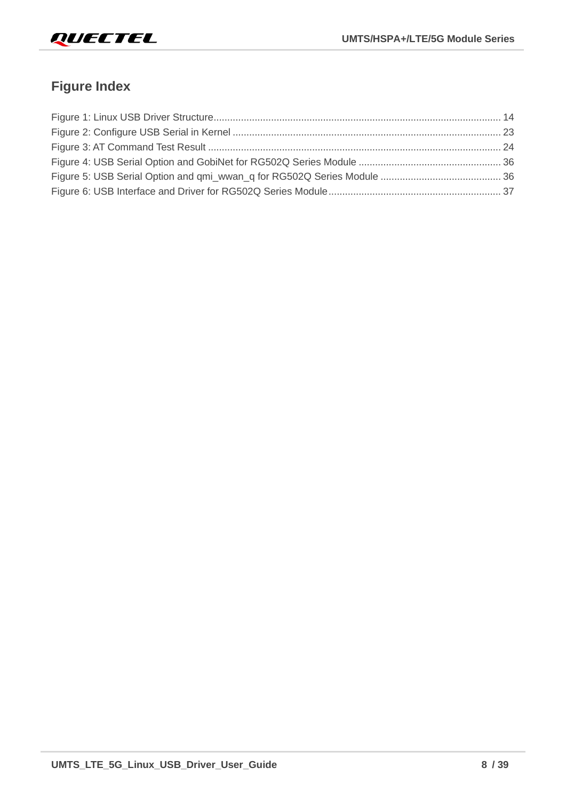

# <span id="page-8-0"></span>**Figure Index**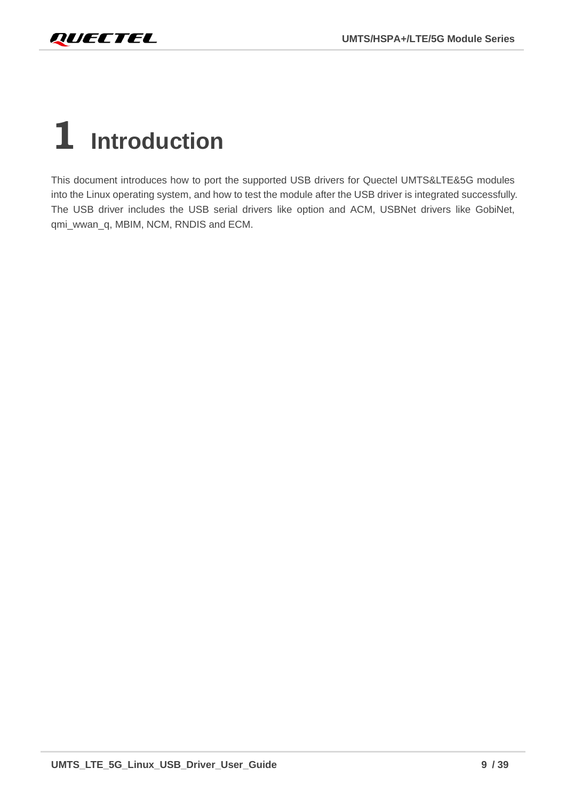<span id="page-9-0"></span>

# **1 Introduction**

This document introduces how to port the supported USB drivers for Quectel UMTS&LTE&5G modules into the Linux operating system, and how to test the module after the USB driver is integrated successfully. The USB driver includes the USB serial drivers like option and ACM, USBNet drivers like GobiNet, qmi\_wwan\_q, MBIM, NCM, RNDIS and ECM.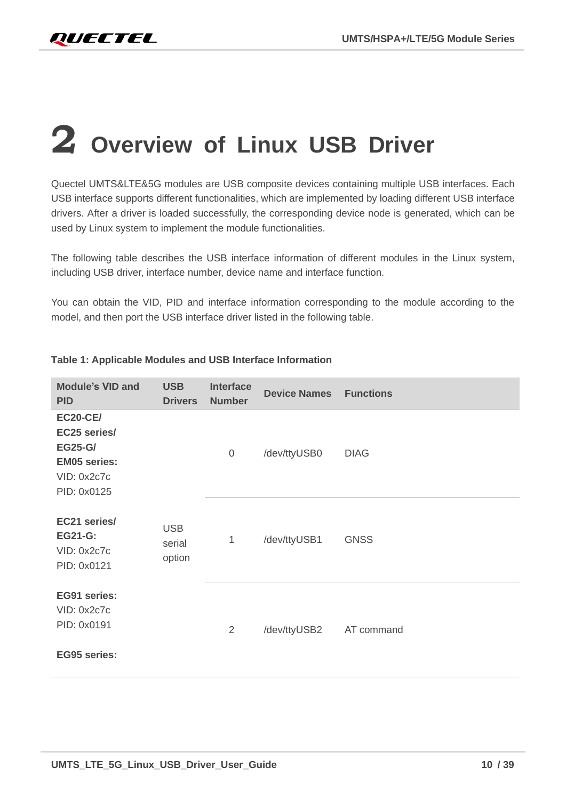# <span id="page-10-0"></span>**2 Overview of Linux USB Driver**

Quectel UMTS&LTE&5G modules are USB composite devices containing multiple USB interfaces. Each USB interface supports different functionalities, which are implemented by loading different USB interface drivers. After a driver is loaded successfully, the corresponding device node is generated, which can be used by Linux system to implement the module functionalities.

The following table describes the USB interface information of different modules in the Linux system, including USB driver, interface number, device name and interface function.

You can obtain the VID, PID and interface information corresponding to the module according to the model, and then port the USB interface driver listed in the following table.

| <b>Module's VID and</b><br><b>PID</b>                                                                  | <b>USB</b><br><b>Drivers</b>   | <b>Interface</b><br><b>Number</b> | <b>Device Names</b> | <b>Functions</b> |
|--------------------------------------------------------------------------------------------------------|--------------------------------|-----------------------------------|---------------------|------------------|
| <b>EC20-CE/</b><br>EC25 series/<br><b>EG25-G/</b><br><b>EM05 series:</b><br>VID: 0x2c7c<br>PID: 0x0125 |                                | $\overline{0}$                    | /dev/ttyUSB0        | <b>DIAG</b>      |
| EC21 series/<br><b>EG21-G:</b><br>VID: 0x2c7c<br>PID: 0x0121                                           | <b>USB</b><br>serial<br>option | 1                                 | /dev/ttyUSB1        | <b>GNSS</b>      |
| EG91 series:<br>VID: 0x2c7c<br>PID: 0x0191<br><b>EG95 series:</b>                                      |                                | 2                                 | /dev/ttyUSB2        | AT command       |

#### **Table 1: Applicable Modules and USB Interface Information**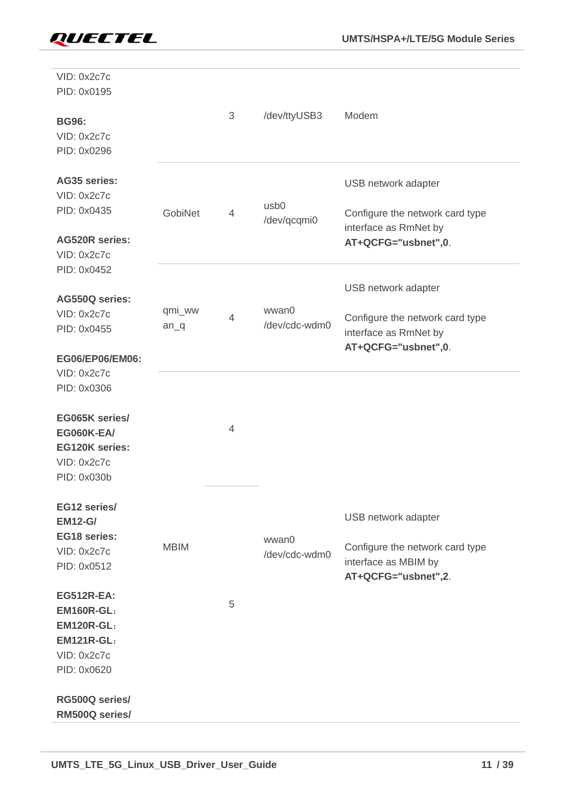| VID: 0x2c7c<br>PID: 0x0195<br><b>BG96:</b>                                                                     |                  | $\sqrt{3}$     | /dev/ttyUSB3           | Modem                                                                          |
|----------------------------------------------------------------------------------------------------------------|------------------|----------------|------------------------|--------------------------------------------------------------------------------|
| VID: 0x2c7c<br>PID: 0x0296                                                                                     |                  |                |                        |                                                                                |
| <b>AG35 series:</b><br>VID: 0x2c7c                                                                             |                  |                | usb <sub>0</sub>       | USB network adapter                                                            |
| PID: 0x0435                                                                                                    | GobiNet          | $\overline{4}$ | /dev/qcqmi0            | Configure the network card type<br>interface as RmNet by                       |
| <b>AG520R series:</b><br>VID: 0x2c7c                                                                           |                  |                |                        | AT+QCFG="usbnet",0.                                                            |
| PID: 0x0452                                                                                                    |                  |                |                        | USB network adapter                                                            |
| AG550Q series:<br>VID: 0x2c7c<br>PID: 0x0455                                                                   | qmi_ww<br>$an_q$ | 4              | wwan0<br>/dev/cdc-wdm0 | Configure the network card type<br>interface as RmNet by                       |
| EG06/EP06/EM06:<br>VID: 0x2c7c                                                                                 |                  |                |                        | AT+QCFG="usbnet",0.                                                            |
| PID: 0x0306                                                                                                    |                  |                |                        |                                                                                |
| EG065K series/<br><b>EG060K-EA/</b><br><b>EG120K series:</b><br>VID: 0x2c7c<br>PID: 0x030b                     |                  | $\overline{4}$ |                        |                                                                                |
| EG12 series/<br><b>EM12-G/</b>                                                                                 |                  |                |                        | USB network adapter                                                            |
| EG18 series:<br>VID: 0x2c7c<br>PID: 0x0512                                                                     | <b>MBIM</b>      |                | wwan0<br>/dev/cdc-wdm0 | Configure the network card type<br>interface as MBIM by<br>AT+QCFG="usbnet",2. |
| <b>EG512R-EA:</b><br><b>EM160R-GL:</b><br><b>EM120R-GL:</b><br><b>EM121R-GL:</b><br>VID: 0x2c7c<br>PID: 0x0620 |                  | 5              |                        |                                                                                |
| RG500Q series/<br>RM500Q series/                                                                               |                  |                |                        |                                                                                |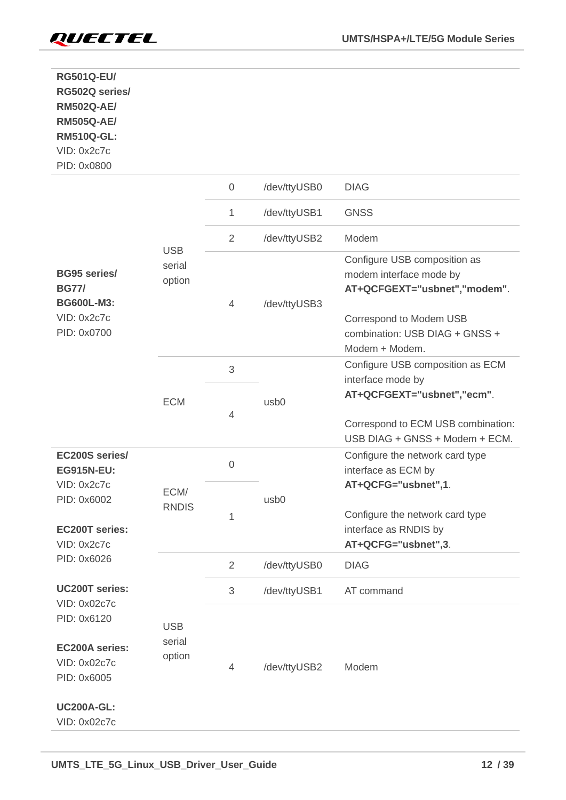

| <b>RG501Q-EU/</b><br>RG502Q series/<br><b>RM502Q-AE/</b><br><b>RM505Q-AE/</b><br><b>RM510Q-GL:</b><br>VID: 0x2c7c<br>PID: 0x0800 |                                |                  |                  |                                                                                                                                                                        |
|----------------------------------------------------------------------------------------------------------------------------------|--------------------------------|------------------|------------------|------------------------------------------------------------------------------------------------------------------------------------------------------------------------|
|                                                                                                                                  |                                | $\boldsymbol{0}$ | /dev/ttyUSB0     | <b>DIAG</b>                                                                                                                                                            |
|                                                                                                                                  |                                | 1                | /dev/ttyUSB1     | <b>GNSS</b>                                                                                                                                                            |
|                                                                                                                                  |                                | $\overline{2}$   | /dev/ttyUSB2     | Modem                                                                                                                                                                  |
| <b>BG95 series/</b><br><b>BG77/</b><br><b>BG600L-M3:</b><br>VID: 0x2c7c<br>PID: 0x0700                                           | <b>USB</b><br>serial<br>option | $\overline{4}$   | /dev/ttyUSB3     | Configure USB composition as<br>modem interface mode by<br>AT+QCFGEXT="usbnet","modem".<br>Correspond to Modem USB<br>combination: USB DIAG + GNSS +<br>Modem + Modem. |
|                                                                                                                                  |                                | $\mathfrak{S}$   |                  | Configure USB composition as ECM                                                                                                                                       |
|                                                                                                                                  | <b>ECM</b>                     | 4                | usb <sub>0</sub> | interface mode by<br>AT+QCFGEXT="usbnet","ecm".<br>Correspond to ECM USB combination:                                                                                  |
| EC200S series/<br><b>EG915N-EU:</b>                                                                                              |                                | $\mathbf 0$      |                  | USB DIAG + GNSS + Modem + ECM.<br>Configure the network card type<br>interface as ECM by                                                                               |
| VID: 0x2c7c<br>PID: 0x6002                                                                                                       | ECM/<br><b>RNDIS</b>           |                  | usb <sub>0</sub> | AT+QCFG="usbnet",1.                                                                                                                                                    |
| <b>EC200T series:</b><br>VID: 0x2c7c                                                                                             |                                | 1                |                  | Configure the network card type<br>interface as RNDIS by<br>AT+QCFG="usbnet",3.                                                                                        |
| PID: 0x6026                                                                                                                      |                                | $\overline{2}$   | /dev/ttyUSB0     | <b>DIAG</b>                                                                                                                                                            |
| <b>UC200T series:</b>                                                                                                            |                                | $\mathfrak{S}$   | /dev/ttyUSB1     | AT command                                                                                                                                                             |
| VID: 0x02c7c<br>PID: 0x6120                                                                                                      | <b>USB</b>                     |                  |                  |                                                                                                                                                                        |
| <b>EC200A series:</b><br>VID: 0x02c7c<br>PID: 0x6005                                                                             | serial<br>option               | 4                | /dev/ttyUSB2     | Modem                                                                                                                                                                  |
| <b>UC200A-GL:</b><br>VID: 0x02c7c                                                                                                |                                |                  |                  |                                                                                                                                                                        |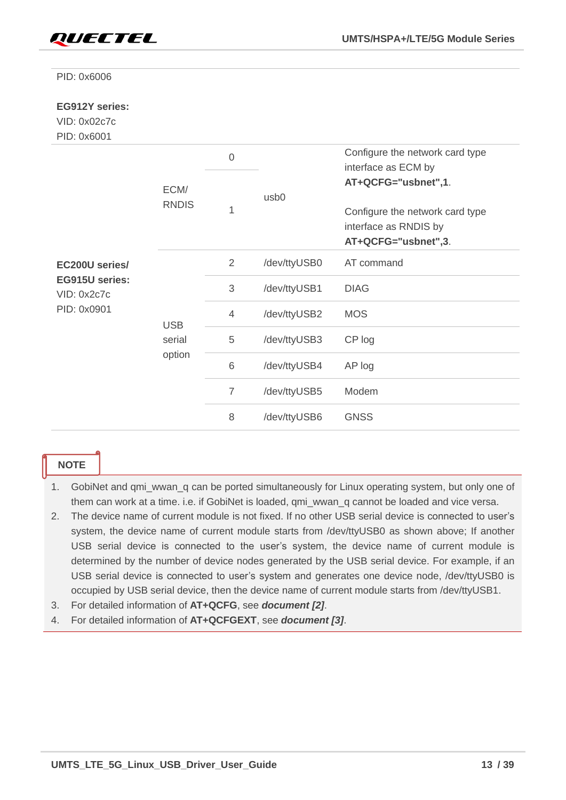

PID: 0x6006

#### **EG912Y series:**

### VID: 0x02c7c

PID: 0x6001

|                               |              | $\mathbf 0$    |                  | Configure the network card type<br>interface as ECM by                          |
|-------------------------------|--------------|----------------|------------------|---------------------------------------------------------------------------------|
|                               | ECM/         | 1              | usb <sub>0</sub> | AT+QCFG="usbnet",1.                                                             |
|                               | <b>RNDIS</b> |                |                  | Configure the network card type<br>interface as RNDIS by<br>AT+QCFG="usbnet",3. |
| EC200U series/                |              | 2              | /dev/ttyUSB0     | AT command                                                                      |
| EG915U series:<br>VID: 0x2c7c |              | 3              | /dev/ttyUSB1     | <b>DIAG</b>                                                                     |
| PID: 0x0901                   | <b>USB</b>   | $\overline{4}$ | /dev/ttyUSB2     | <b>MOS</b>                                                                      |
|                               | serial       | 5              | /dev/ttyUSB3     | CP log                                                                          |
|                               | option       | 6              | /dev/ttyUSB4     | AP log                                                                          |
|                               |              | $\overline{7}$ | /dev/ttyUSB5     | Modem                                                                           |
|                               |              | 8              | /dev/ttyUSB6     | <b>GNSS</b>                                                                     |

#### **NOTE**

- 1. GobiNet and qmi\_wwan\_q can be ported simultaneously for Linux operating system, but only one of them can work at a time. i.e. if GobiNet is loaded, qmi\_wwan\_q cannot be loaded and vice versa.
- 2. The device name of current module is not fixed. If no other USB serial device is connected to user's system, the device name of current module starts from /dev/ttyUSB0 as shown above; If another USB serial device is connected to the user's system, the device name of current module is determined by the number of device nodes generated by the USB serial device. For example, if an USB serial device is connected to user's system and generates one device node, /dev/ttyUSB0 is occupied by USB serial device, then the device name of current module starts from /dev/ttyUSB1.
- 3. For detailed information of **AT+QCFG**, see *document [\[2\]](#page-38-1)*.
- 4. For detailed information of **AT+QCFGEXT**, see *document [\[3\]](#page-38-2)*.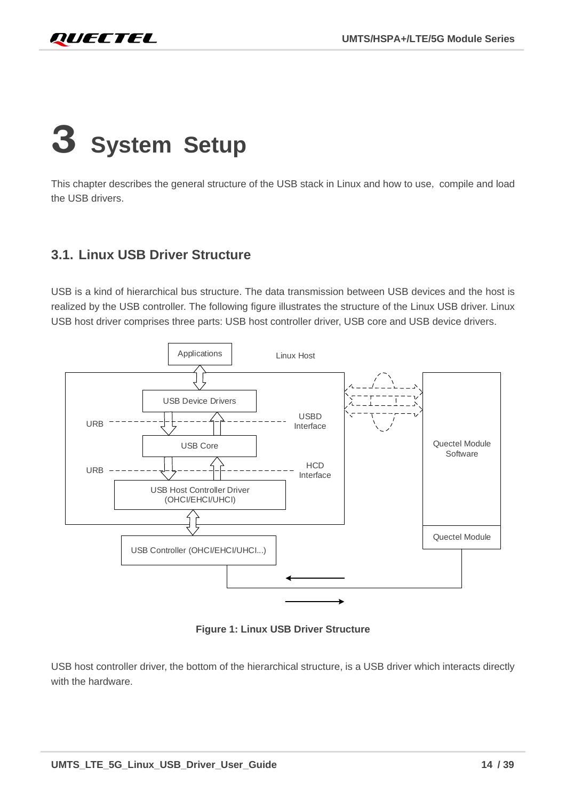# <span id="page-14-0"></span>**3 System Setup**

This chapter describes the general structure of the USB stack in Linux and how to use, compile and load the USB drivers.

# <span id="page-14-1"></span>**3.1. Linux USB Driver Structure**

USB is a kind of hierarchical bus structure. The data transmission between USB devices and the host is realized by the USB controller. The following figure illustrates the structure of the Linux USB driver. Linux USB host driver comprises three parts: USB host controller driver, USB core and USB device drivers.



**Figure 1: Linux USB Driver Structure**

<span id="page-14-2"></span>USB host controller driver, the bottom of the hierarchical structure, is a USB driver which interacts directly with the hardware.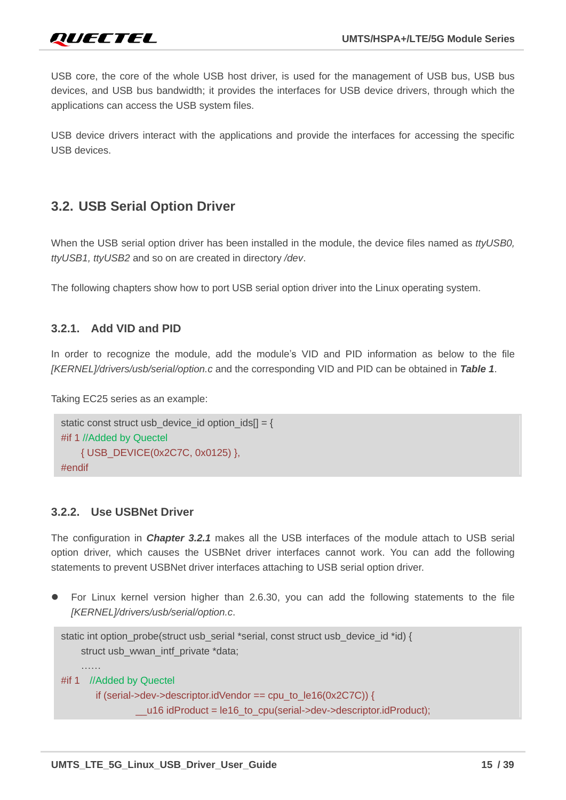USB core, the core of the whole USB host driver, is used for the management of USB bus, USB bus devices, and USB bus bandwidth; it provides the interfaces for USB device drivers, through which the applications can access the USB system files.

USB device drivers interact with the applications and provide the interfaces for accessing the specific USB devices.

# <span id="page-15-0"></span>**3.2. USB Serial Option Driver**

When the USB serial option driver has been installed in the module, the device files named as *ttyUSB0, ttyUSB1, ttyUSB2* and so on are created in directory */dev*.

The following chapters show how to port USB serial option driver into the Linux operating system.

#### <span id="page-15-1"></span>**3.2.1. Add VID and PID**

In order to recognize the module, add the module's VID and PID information as below to the file *[KERNEL]/drivers/usb/serial/option.c* and the corresponding VID and PID can be obtained in *Table 1*.

Taking EC25 series as an example:

```
static const struct usb device id option ids[] = {#if 1 //Added by Quectel
    { USB_DEVICE(0x2C7C, 0x0125) }, 
#endif
```
#### <span id="page-15-2"></span>**3.2.2. Use USBNet Driver**

The configuration in *Chapter [3.2.1](#page-15-1)* makes all the USB interfaces of the module attach to USB serial option driver, which causes the USBNet driver interfaces cannot work. You can add the following statements to prevent USBNet driver interfaces attaching to USB serial option driver.

⚫ For Linux kernel version higher than 2.6.30, you can add the following statements to the file *[KERNEL]/drivers/usb/serial/option.c*.

```
static int option_probe(struct usb_serial *serial, const struct usb_device_id *id) {
    struct usb_wwan_intf_private *data;
    ……
#if 1 //Added by Quectel
        if (serial->dev->descriptor.idVendor == cpu_to_le16(0x2C7C)) {
                   __u16 idProduct = le16_to_cpu(serial->dev->descriptor.idProduct);
```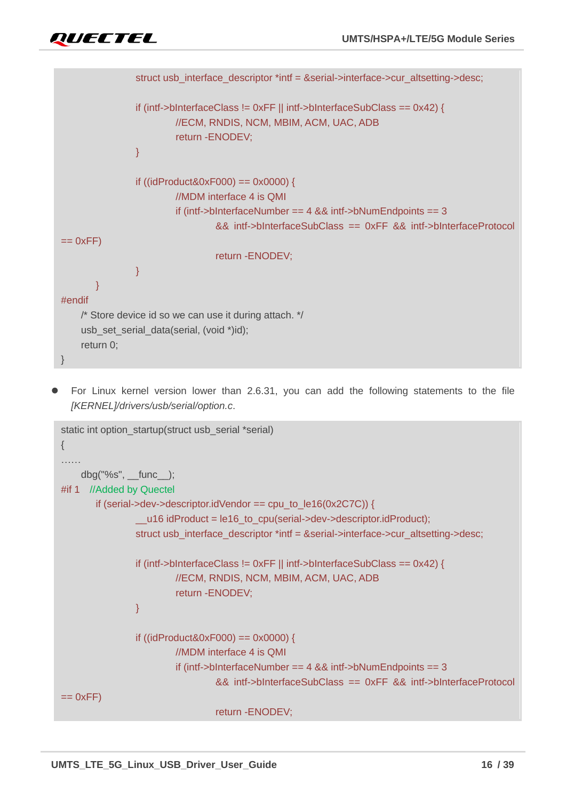```
struct usb_interface_descriptor *intf = &serial->interface->cur_altsetting->desc;
                 if (intf->bInterfaceClass != 0xFF || intf->bInterfaceSubClass == 0x42) {
                          //ECM, RNDIS, NCM, MBIM, ACM, UAC, ADB
                          return -ENODEV;
 }
                 if ((idProduct&0xF000) == 0x0000) {
                          //MDM interface 4 is QMI
                          if (intf->bInterfaceNumber == 4 && intf->bNumEndpoints == 3
                                   && intf->bInterfaceSubClass == 0xFF && intf->bInterfaceProtocol 
== 0xFF)
                                   return -ENODEV;
 }
\{1, 2, \ldots, n\}#endif
    /* Store device id so we can use it during attach. */
    usb set serial data(serial, (void *)id);
    return 0;
}
```
⚫ For Linux kernel version lower than 2.6.31, you can add the following statements to the file *[KERNEL]/drivers/usb/serial/option.c*.

```
static int option_startup(struct usb_serial *serial)
{
……
    dbg("%s", __func__);
#if 1 //Added by Quectel
       if (serial->dev->descriptor.idVendor == cpu_to_le16(0x2C7C)) {
                 u16 idProduct = le16 to cpu(serial->dev->descriptor.idProduct);
                struct usb_interface_descriptor *intf = &serial->interface->cur_altsetting->desc;
                 if (intf->bInterfaceClass != 0xFF || intf->bInterfaceSubClass == 0x42) {
                         //ECM, RNDIS, NCM, MBIM, ACM, UAC, ADB
                         return -ENODEV;
 }
                 if ((idProduct&0xF000) == 0x0000) {
                         //MDM interface 4 is QMI
                          if (intf->bInterfaceNumber == 4 && intf->bNumEndpoints == 3
                                  && intf->bInterfaceSubClass == 0xFF && intf->bInterfaceProtocol 
== 0xFF)
                                  return -ENODEV;
```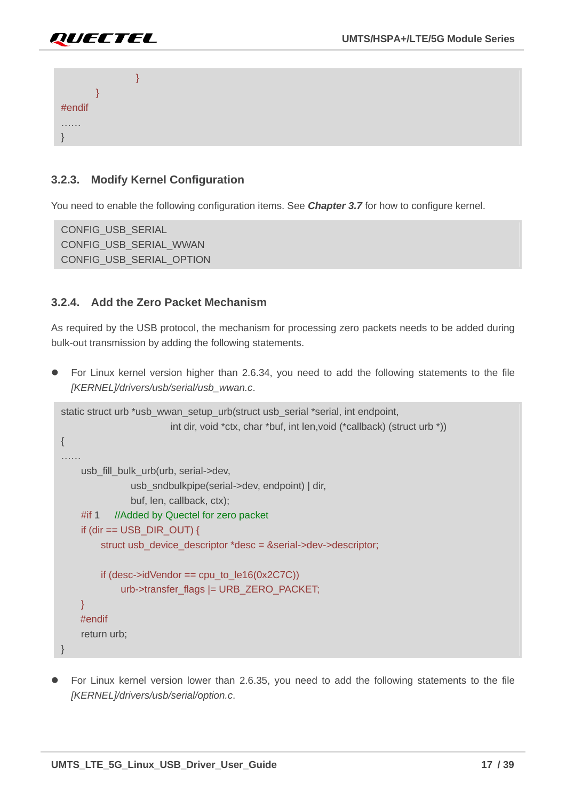



#### <span id="page-17-0"></span>**3.2.3. Modify Kernel Configuration**

You need to enable the following configuration items. See *Chapter [3.7](#page-22-1)* for how to configure kernel.

CONFIG\_USB\_SERIAL CONFIG\_USB\_SERIAL\_WWAN CONFIG\_USB\_SERIAL\_OPTION

#### <span id="page-17-1"></span>**3.2.4. Add the Zero Packet Mechanism**

As required by the USB protocol, the mechanism for processing zero packets needs to be added during bulk-out transmission by adding the following statements.

⚫ For Linux kernel version higher than 2.6.34, you need to add the following statements to the file *[KERNEL]/drivers/usb/serial/usb\_wwan.c*.

```
static struct urb *usb_wwan_setup_urb(struct usb_serial *serial, int endpoint,
                          int dir, void *ctx, char *buf, int len,void (*callback) (struct urb *))
{
……
    usb_fill_bulk_urb(urb, serial->dev,
                usb_sndbulkpipe(serial->dev, endpoint) | dir,
                buf, len, callback, ctx);
    #if 1 //Added by Quectel for zero packet
    if (dir == USB DIR OUT) {
         struct usb_device_descriptor *desc = &serial->dev->descriptor;
         if (desc->idVendor == cpu_to_le16(0x2C7C))
             urb->transfer_flags |= URB_ZERO_PACKET;
    }
    #endif
    return urb;
}
```
⚫ For Linux kernel version lower than 2.6.35, you need to add the following statements to the file *[KERNEL]/drivers/usb/serial/option.c*.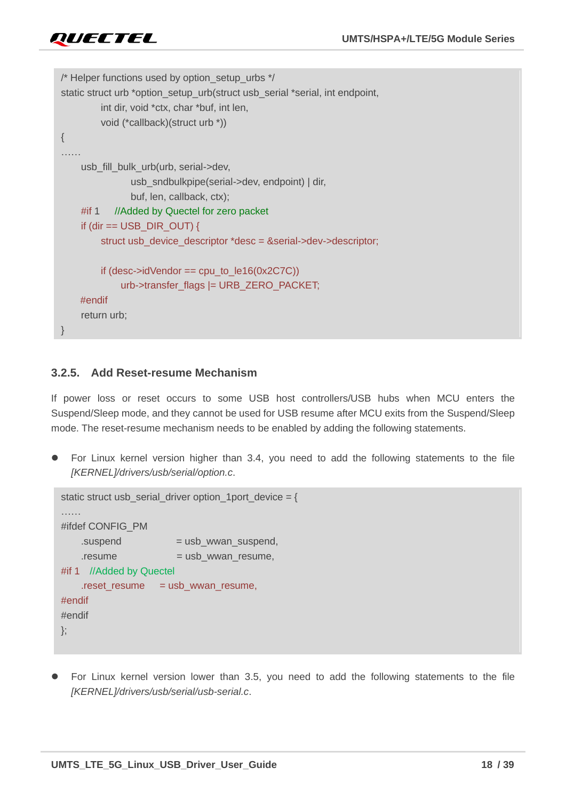```
/* Helper functions used by option_setup_urbs */
static struct urb *option_setup_urb(struct usb_serial *serial, int endpoint,
         int dir, void *ctx, char *buf, int len,
         void (*callback)(struct urb *))
{
……
    usb_fill_bulk_urb(urb, serial->dev,
                usb_sndbulkpipe(serial->dev, endpoint) | dir,
               buf, len, callback, ctx);
    #if 1 //Added by Quectel for zero packet
    if (dir == USB_DIR_OUT) {
         struct usb_device_descriptor *desc = &serial->dev->descriptor;
         if (desc-)idVendor == cpu_to_le16(0x2C7C))
             urb->transfer_flags |= URB_ZERO_PACKET;
    #endif
    return urb;
}
```
### <span id="page-18-0"></span>**3.2.5. Add Reset-resume Mechanism**

If power loss or reset occurs to some USB host controllers/USB hubs when MCU enters the Suspend/Sleep mode, and they cannot be used for USB resume after MCU exits from the Suspend/Sleep mode. The reset-resume mechanism needs to be enabled by adding the following statements.

⚫ For Linux kernel version higher than 3.4, you need to add the following statements to the file *[KERNEL]/drivers/usb/serial/option.c*.

```
static struct usb_serial_driver option_1port_device = {
………
#ifdef CONFIG_PM
   suspend = usb_wwan_suspend,resume = usb wwan resume,
#if 1 //Added by Quectel
   .reset_resume = usb_wwan_resume,
#endif
#endif
};
```
⚫ For Linux kernel version lower than 3.5, you need to add the following statements to the file *[KERNEL]/drivers/usb/serial/usb-serial.c*.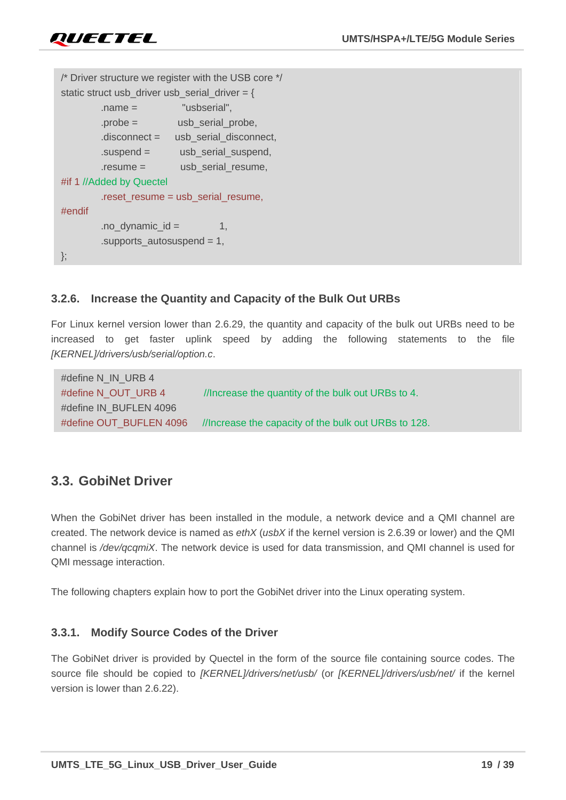```
/* Driver structure we register with the USB core */
static struct usb_driver usb_serial_driver = {} .name = "usbserial",
        \text{probe} = usb serial probe.
         .disconnect = usb_serial_disconnect,
        suspend = usb serial suspend,
         .resume = usb_serial_resume,
#if 1 //Added by Quectel
        .reset resume = usb serial resume,
#endif
        .no dynamic id = 1,
         .supports_autosuspend = 1,
};
```
#### <span id="page-19-0"></span>**3.2.6. Increase the Quantity and Capacity of the Bulk Out URBs**

For Linux kernel version lower than 2.6.29, the quantity and capacity of the bulk out URBs need to be increased to get faster uplink speed by adding the following statements to the file *[KERNEL]/drivers/usb/serial/option.c*.

```
#define N_IN_URB 4
#define N_OUT_URB 4 //Increase the quantity of the bulk out URBs to 4.
#define IN_BUFLEN 4096
#define OUT_BUFLEN 4096 //Increase the capacity of the bulk out URBs to 128.
```
# <span id="page-19-1"></span>**3.3. GobiNet Driver**

When the GobiNet driver has been installed in the module, a network device and a QMI channel are created. The network device is named as *ethX* (*usbX* if the kernel version is 2.6.39 or lower) and the QMI channel is */dev/qcqmiX*. The network device is used for data transmission, and QMI channel is used for QMI message interaction.

The following chapters explain how to port the GobiNet driver into the Linux operating system.

#### <span id="page-19-2"></span>**3.3.1. Modify Source Codes of the Driver**

The GobiNet driver is provided by Quectel in the form of the source file containing source codes. The source file should be copied to *[KERNEL]/drivers/net/usb/* (or *[KERNEL]/drivers/usb/net/* if the kernel version is lower than 2.6.22).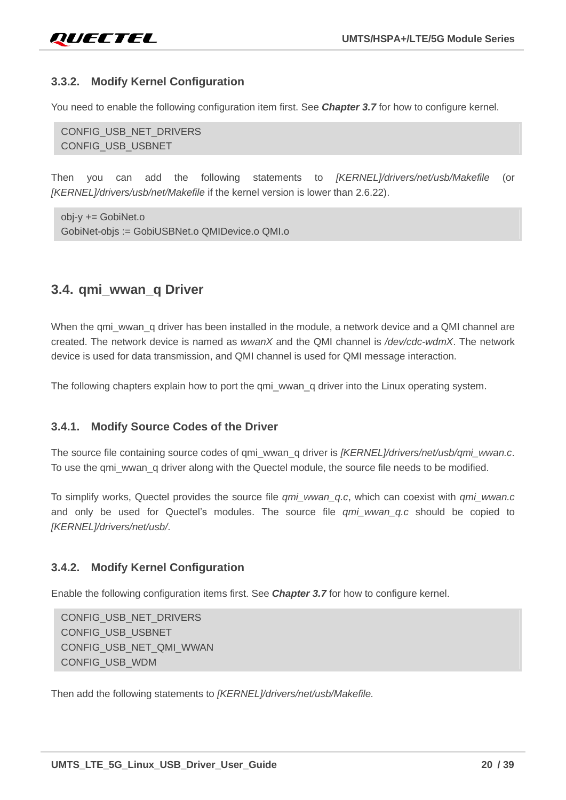#### <span id="page-20-0"></span>**3.3.2. Modify Kernel Configuration**

You need to enable the following configuration item first. See *Chapter [3.7](#page-22-1)* for how to configure kernel.

CONFIG\_USB\_NET\_DRIVERS CONFIG\_USB\_USBNET

Then you can add the following statements to *[KERNEL]/drivers/net/usb/Makefile* (or *[KERNEL]/drivers/usb/net/Makefile* if the kernel version is lower than 2.6.22).

obj-y += GobiNet.o GobiNet-objs := GobiUSBNet.o QMIDevice.o QMI.o

### <span id="page-20-1"></span>**3.4. qmi\_wwan\_q Driver**

When the qmi\_wwan\_q driver has been installed in the module, a network device and a QMI channel are created. The network device is named as *wwanX* and the QMI channel is */dev/cdc-wdmX*. The network device is used for data transmission, and QMI channel is used for QMI message interaction.

The following chapters explain how to port the qmi\_wwan\_q driver into the Linux operating system.

#### <span id="page-20-2"></span>**3.4.1. Modify Source Codes of the Driver**

The source file containing source codes of qmi\_wwan\_q driver is *[KERNEL]/drivers/net/usb/qmi\_wwan.c*. To use the qmi\_wwan\_q driver along with the Quectel module, the source file needs to be modified.

To simplify works, Quectel provides the source file *qmi\_wwan\_q.c*, which can coexist with *qmi\_wwan.c* and only be used for Quectel's modules. The source file *qmi\_wwan\_q.c* should be copied to *[KERNEL]/drivers/net/usb/*.

#### <span id="page-20-3"></span>**3.4.2. Modify Kernel Configuration**

Enable the following configuration items first. See *Chapter [3.7](#page-22-1)* for how to configure kernel.

CONFIG\_USB\_NET\_DRIVERS CONFIG USB USBNET CONFIG\_USB\_NET\_QMI\_WWAN CONFIG\_USB\_WDM

Then add the following statements to *[KERNEL]/drivers/net/usb/Makefile.*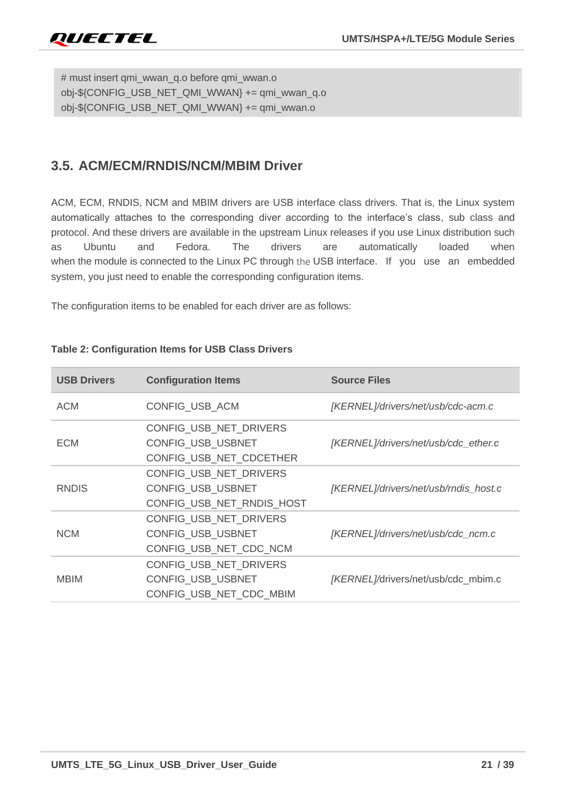# must insert qmi\_wwan\_q.o before qmi\_wwan.o obj-\${CONFIG\_USB\_NET\_QMI\_WWAN} += qmi\_wwan\_q.o obj-\${CONFIG\_USB\_NET\_QMI\_WWAN} += qmi\_wwan.o

# <span id="page-21-0"></span>**3.5. ACM/ECM/RNDIS/NCM/MBIM Driver**

ACM, ECM, RNDIS, NCM and MBIM drivers are USB interface class drivers. That is, the Linux system automatically attaches to the corresponding diver according to the interface's class, sub class and protocol. And these drivers are available in the upstream Linux releases if you use Linux distribution such as Ubuntu and Fedora. The drivers are automatically loaded when when the module is connected to the Linux PC through the USB interface. If you use an embedded system, you just need to enable the corresponding configuration items.

The configuration items to be enabled for each driver are as follows:

| <b>USB Drivers</b> | <b>Configuration Items</b> | <b>Source Files</b>                   |
|--------------------|----------------------------|---------------------------------------|
| <b>ACM</b>         | CONFIG_USB_ACM             | [KERNEL]/drivers/net/usb/cdc-acm.c    |
|                    | CONFIG_USB_NET_DRIVERS     |                                       |
| <b>ECM</b>         | CONFIG_USB_USBNET          | [KERNEL]/drivers/net/usb/cdc_ether.c  |
|                    | CONFIG_USB_NET_CDCETHER    |                                       |
|                    | CONFIG USB NET DRIVERS     |                                       |
| <b>RNDIS</b>       | <b>CONFIG USB USBNET</b>   | [KERNEL]/drivers/net/usb/rndis_host.c |
|                    | CONFIG_USB_NET_RNDIS_HOST  |                                       |
|                    | CONFIG USB NET DRIVERS     |                                       |
| <b>NCM</b>         | <b>CONFIG USB USBNET</b>   | [KERNEL]/drivers/net/usb/cdc_ncm.c    |
|                    | CONFIG_USB_NET_CDC_NCM     |                                       |
|                    | CONFIG_USB_NET_DRIVERS     |                                       |
| <b>MBIM</b>        | <b>CONFIG USB USBNET</b>   | [KERNEL]/drivers/net/usb/cdc_mbim.c   |
|                    | CONFIG_USB_NET_CDC_MBIM    |                                       |

#### **Table 2: Configuration Items for USB Class Drivers**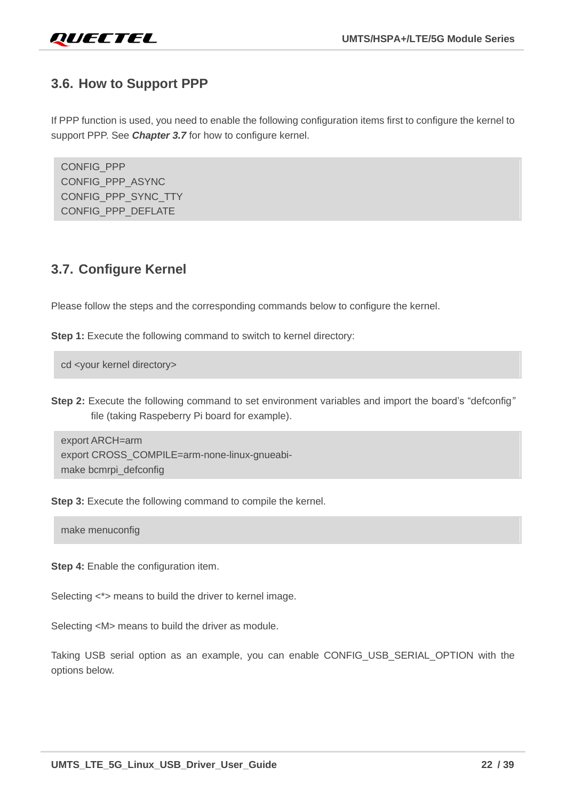

# <span id="page-22-0"></span>**3.6. How to Support PPP**

If PPP function is used, you need to enable the following configuration items first to configure the kernel to support PPP. See *Chapter [3.7](#page-22-1)* for how to configure kernel.

CONFIG\_PPP CONFIG\_PPP\_ASYNC CONFIG\_PPP\_SYNC\_TTY CONFIG\_PPP\_DEFLATE

### <span id="page-22-1"></span>**3.7. Configure Kernel**

Please follow the steps and the corresponding commands below to configure the kernel.

**Step 1:** Execute the following command to switch to kernel directory:

cd <your kernel directory>

**Step 2:** Execute the following command to set environment variables and import the board's "defconfig*"*  file (taking Raspeberry Pi board for example).

export ARCH=arm export CROSS\_COMPILE=arm-none-linux-gnueabimake bcmrpi\_defconfig

**Step 3:** Execute the following command to compile the kernel.

make menuconfig

**Step 4:** Enable the configuration item.

Selecting  $\lt^*$  means to build the driver to kernel image.

Selecting <M> means to build the driver as module.

Taking USB serial option as an example, you can enable CONFIG\_USB\_SERIAL\_OPTION with the options below.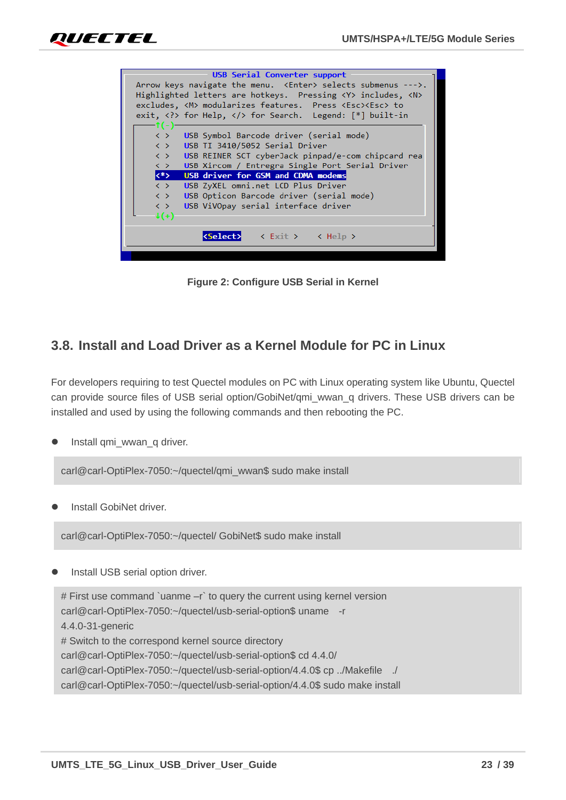



**Figure 2: Configure USB Serial in Kernel**

# <span id="page-23-1"></span><span id="page-23-0"></span>**3.8. Install and Load Driver as a Kernel Module for PC in Linux**

For developers requiring to test Quectel modules on PC with Linux operating system like Ubuntu, Quectel can provide source files of USB serial option/GobiNet/qmi\_wwan\_q drivers. These USB drivers can be installed and used by using the following commands and then rebooting the PC.

Install qmi\_wwan\_q driver.

carl@carl-OptiPlex-7050:~/quectel/qmi\_wwan\$ sudo make install

⚫ Install GobiNet driver.

carl@carl-OptiPlex-7050:~/quectel/ GobiNet\$ sudo make install

⚫ Install USB serial option driver.

# First use command `uanme –r` to query the current using kernel version carl@carl-OptiPlex-7050:~/quectel/usb-serial-option\$ uname -r 4.4.0-31-generic # Switch to the correspond kernel source directory carl@carl-OptiPlex-7050:~/quectel/usb-serial-option\$ cd 4.4.0/ carl@carl-OptiPlex-7050:~/quectel/usb-serial-option/4.4.0\$ cp ../Makefile ./ carl@carl-OptiPlex-7050:~/quectel/usb-serial-option/4.4.0\$ sudo make install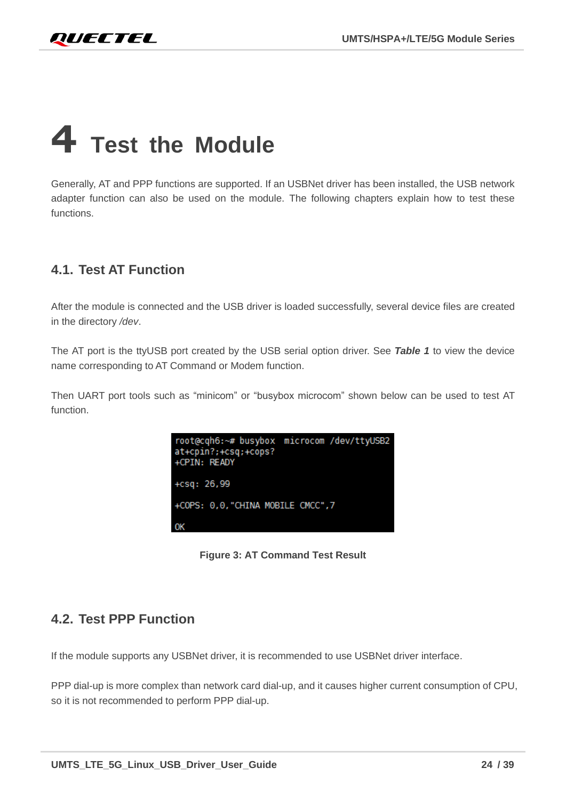# <span id="page-24-0"></span>**4 Test the Module**

Generally, AT and PPP functions are supported. If an USBNet driver has been installed, the USB network adapter function can also be used on the module. The following chapters explain how to test these functions.

# <span id="page-24-1"></span>**4.1. Test AT Function**

After the module is connected and the USB driver is loaded successfully, several device files are created in the directory */dev*.

The AT port is the ttyUSB port created by the USB serial option driver. See *Table 1* to view the device name corresponding to AT Command or Modem function.

Then UART port tools such as "minicom" or "busybox microcom" shown below can be used to test AT function.

| root@cqh6:~# busybox microcom /dev/ttyUSB2<br>at+cpin?;+csq;+cops?<br>+CPIN: READY |  |
|------------------------------------------------------------------------------------|--|
| $+csq: 26,99$                                                                      |  |
| +COPS: 0,0,"CHINA MOBILE CMCC",7                                                   |  |
| OK                                                                                 |  |

**Figure 3: AT Command Test Result**

# <span id="page-24-3"></span><span id="page-24-2"></span>**4.2. Test PPP Function**

If the module supports any USBNet driver, it is recommended to use USBNet driver interface.

PPP dial-up is more complex than network card dial-up, and it causes higher current consumption of CPU, so it is not recommended to perform PPP dial-up.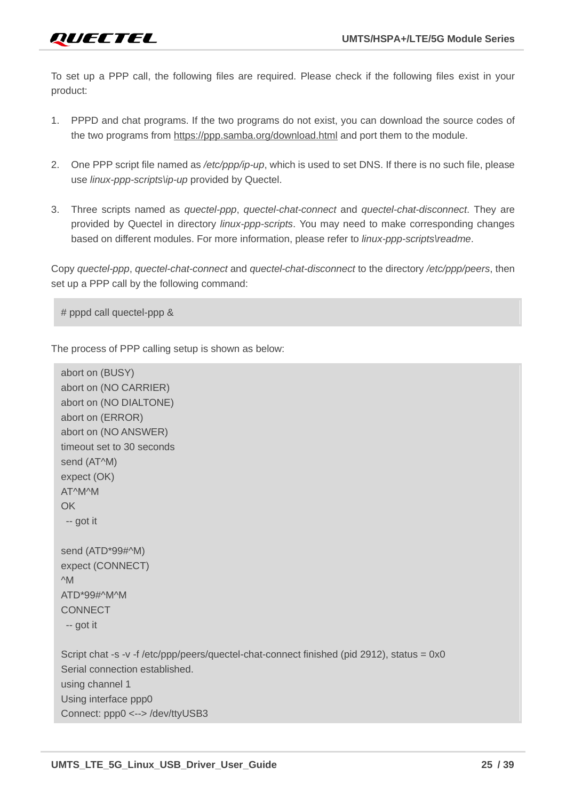To set up a PPP call, the following files are required. Please check if the following files exist in your product:

- 1. PPPD and chat programs. If the two programs do not exist, you can download the source codes of the two programs from <https://ppp.samba.org/download.html> and port them to the module.
- 2. One PPP script file named as */etc/ppp/ip-up*, which is used to set DNS. If there is no such file, please use *linux-ppp-scripts\ip-up* provided by Quectel.
- 3. Three scripts named as *quectel-ppp*, *quectel-chat-connect* and *quectel-chat-disconnect*. They are provided by Quectel in directory *linux-ppp-scripts*. You may need to make corresponding changes based on different modules. For more information, please refer to *linux-ppp-scripts\readme*.

Copy *quectel-ppp*, *quectel-chat-connect* and *quectel-chat-disconnect* to the directory */etc/ppp/peers*, then set up a PPP call by the following command:

# pppd call quectel-ppp &

The process of PPP calling setup is shown as below:

```
abort on (BUSY)
abort on (NO CARRIER)
abort on (NO DIALTONE)
abort on (ERROR)
abort on (NO ANSWER)
timeout set to 30 seconds
send (AT^M)
expect (OK)
AT^M^M
OK
-- got it
send (ATD*99#^M)
expect (CONNECT)
^M
ATD*99#^M^M
CONNECT
-- got it
Script chat -s -v -f /etc/ppp/peers/quectel-chat-connect finished (pid 2912), status = 0x0
Serial connection established.
using channel 1
Using interface ppp0
Connect: ppp0 <--> /dev/ttyUSB3
```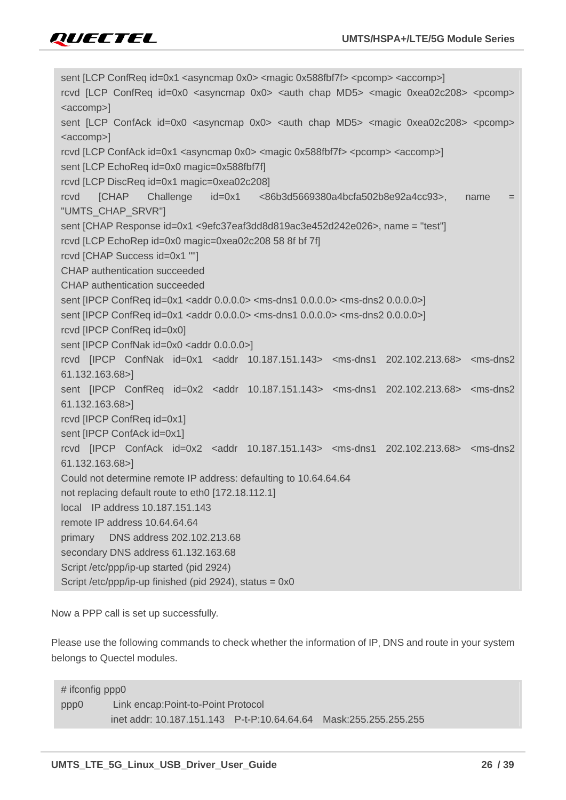

sent [LCP ConfReq id=0x1 <asyncmap 0x0> <magic 0x588fbf7f> <pcomp> <accomp>] rcvd [LCP ConfReq id=0x0 <asyncmap 0x0> <auth chap MD5> <magic 0xea02c208> <pcomp> <accomp>] sent [LCP ConfAck id=0x0 <asyncmap 0x0> <auth chap MD5> <magic 0xea02c208> <pcomp> <accomp>] rcvd [LCP ConfAck id=0x1 <asyncmap 0x0> <magic 0x588fbf7f> <pcomp> <accomp>] sent [LCP EchoReq id=0x0 magic=0x588fbf7f] rcvd [LCP DiscReq id=0x1 magic=0xea02c208] rcvd [CHAP Challenge id=0x1 <86b3d5669380a4bcfa502b8e92a4cc93>, name = "UMTS\_CHAP\_SRVR"] sent [CHAP Response id=0x1 <9efc37eaf3dd8d819ac3e452d242e026>, name = "test"] rcvd [LCP EchoRep id=0x0 magic=0xea02c208 58 8f bf 7f] rcvd [CHAP Success id=0x1 ""] CHAP authentication succeeded CHAP authentication succeeded sent [IPCP ConfReq id=0x1 <addr 0.0.0.0> <ms-dns1 0.0.0.0> <ms-dns2 0.0.0.0>] sent [IPCP ConfReq id=0x1 <addr 0.0.0.0> <ms-dns1 0.0.0.0> <ms-dns2 0.0.0.0>] rcvd [IPCP ConfReq id=0x0] sent [IPCP ConfNak id=0x0 <addr 0.0.0.0>] rcvd [IPCP ConfNak id=0x1 <addr 10.187.151.143> <ms-dns1 202.102.213.68> <ms-dns2 61.132.163.68>] sent [IPCP ConfReq id=0x2 <addr 10.187.151.143> <ms-dns1 202.102.213.68> <ms-dns2 61.132.163.68>] rcvd [IPCP ConfReq id=0x1] sent [IPCP ConfAck id=0x1] rcvd [IPCP ConfAck id=0x2 <addr 10.187.151.143> <ms-dns1 202.102.213.68> <ms-dns2 61.132.163.68>] Could not determine remote IP address: defaulting to 10.64.64.64 not replacing default route to eth0 [172.18.112.1] local IP address 10.187.151.143 remote IP address 10.64.64.64 primary DNS address 202.102.213.68 secondary DNS address 61.132.163.68 Script /etc/ppp/ip-up started (pid 2924) Script /etc/ppp/ip-up finished (pid 2924), status = 0x0

Now a PPP call is set up successfully.

Please use the following commands to check whether the information of IP, DNS and route in your system belongs to Quectel modules.

# ifconfig ppp0 ppp0 Link encap:Point-to-Point Protocol inet addr: 10.187.151.143 P-t-P:10.64.64.64 Mask:255.255.255.255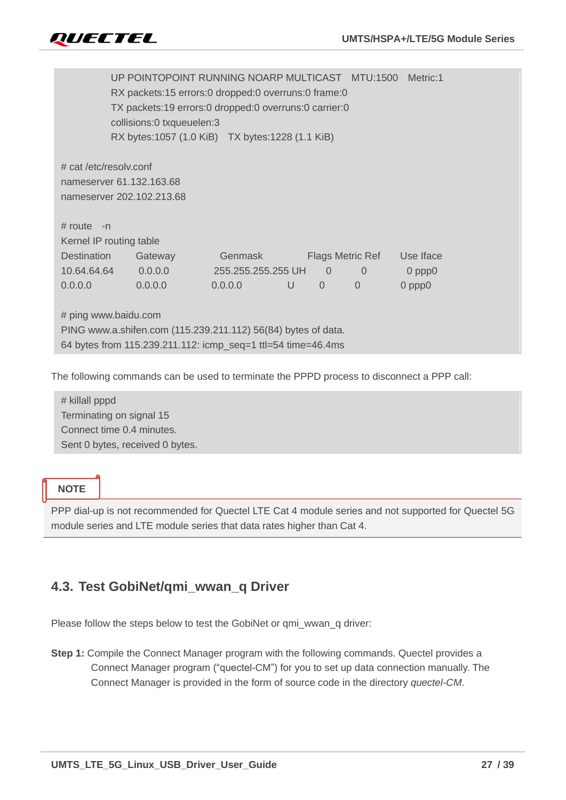|                           | UP POINTOPOINT RUNNING NOARP MULTICAST MTU:1500               |                    |   |                |                  | Metric:1    |
|---------------------------|---------------------------------------------------------------|--------------------|---|----------------|------------------|-------------|
|                           | RX packets:15 errors:0 dropped:0 overruns:0 frame:0           |                    |   |                |                  |             |
|                           | TX packets:19 errors:0 dropped:0 overruns:0 carrier:0         |                    |   |                |                  |             |
|                           | collisions:0 txqueuelen:3                                     |                    |   |                |                  |             |
|                           | RX bytes:1057 (1.0 KiB) TX bytes:1228 (1.1 KiB)               |                    |   |                |                  |             |
|                           |                                                               |                    |   |                |                  |             |
| # cat /etc/resolv.conf    |                                                               |                    |   |                |                  |             |
| nameserver 61.132.163.68  |                                                               |                    |   |                |                  |             |
| nameserver 202.102.213.68 |                                                               |                    |   |                |                  |             |
| $\#$ route -n             |                                                               |                    |   |                |                  |             |
| Kernel IP routing table   |                                                               |                    |   |                |                  |             |
| <b>Destination</b>        | Gateway                                                       | Genmask            |   |                | Flags Metric Ref | Use Iface   |
| 10.64.64.64               | 0.0.0.0                                                       | 255.255.255.255 UH |   | $\overline{0}$ | $\overline{0}$   | $0$ ppp $0$ |
| 0.0.0.0                   | 0.0.0.0                                                       | 0.0.0.0            | U | $\Omega$       | $\overline{0}$   | $0$ ppp $0$ |
|                           |                                                               |                    |   |                |                  |             |
| # ping www.baidu.com      |                                                               |                    |   |                |                  |             |
|                           | PING www.a.shifen.com (115.239.211.112) 56(84) bytes of data. |                    |   |                |                  |             |
|                           | 64 bytes from 115.239.211.112: icmp_seq=1 ttl=54 time=46.4ms  |                    |   |                |                  |             |
|                           |                                                               |                    |   |                |                  |             |

The following commands can be used to terminate the PPPD process to disconnect a PPP call:

# killall pppd Terminating on signal 15 Connect time 0.4 minutes. Sent 0 bytes, received 0 bytes.

#### **NOTE**

PPP dial-up is not recommended for Quectel LTE Cat 4 module series and not supported for Quectel 5G module series and LTE module series that data rates higher than Cat 4.

# <span id="page-27-0"></span>**4.3. Test GobiNet/qmi\_wwan\_q Driver**

Please follow the steps below to test the GobiNet or qmi\_wwan\_q driver:

**Step 1:** Compile the Connect Manager program with the following commands. Quectel provides a Connect Manager program ("quectel-CM") for you to set up data connection manually. The Connect Manager is provided in the form of source code in the directory *quectel-CM*.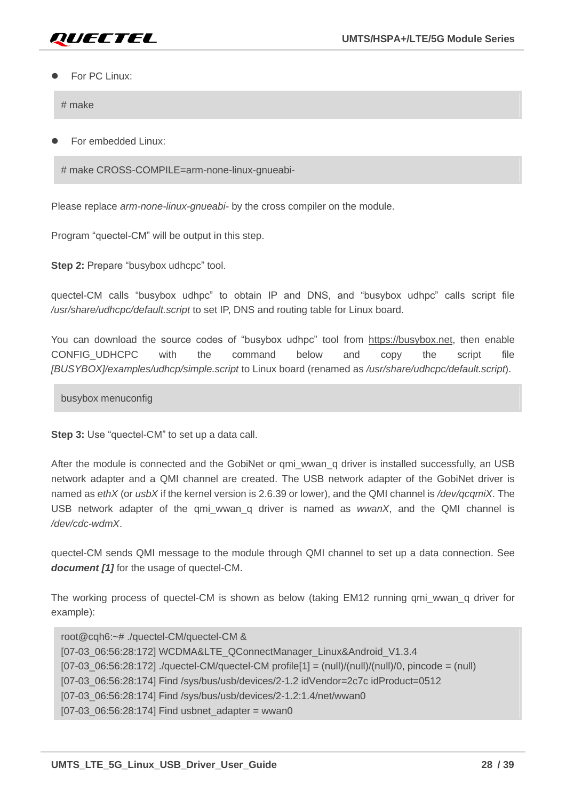

#### For PC Linux:

# make

⚫ For embedded Linux:

# make CROSS-COMPILE=arm-none-linux-gnueabi-

Please replace *arm-none-linux-gnueabi-* by the cross compiler on the module.

Program "quectel-CM" will be output in this step.

**Step 2:** Prepare "busybox udhcpc" tool.

quectel-CM calls "busybox udhpc" to obtain IP and DNS, and "busybox udhpc" calls script file */usr/share/udhcpc/default.script* to set IP, DNS and routing table for Linux board.

You can download the source codes of "busybox udhpc" tool from https://busybox.net, then enable CONFIG UDHCPC with the command below and copy the script file *[BUSYBOX]/examples/udhcp/simple.script* to Linux board (renamed as */usr/share/udhcpc/default.script*).

busybox menuconfig

**Step 3:** Use "quectel-CM" to set up a data call.

After the module is connected and the GobiNet or qmi\_wwan\_q driver is installed successfully, an USB network adapter and a QMI channel are created. The USB network adapter of the GobiNet driver is named as *ethX* (or *usbX* if the kernel version is 2.6.39 or lower), and the QMI channel is */dev/qcqmiX*. The USB network adapter of the qmi\_wwan\_q driver is named as *wwanX*, and the QMI channel is */dev/cdc-wdmX*.

quectel-CM sends QMI message to the module through QMI channel to set up a data connection. See *document [\[1\]](#page-38-3)* for the usage of quectel-CM.

The working process of quectel-CM is shown as below (taking EM12 running qmi\_wwan\_q driver for example):

root@cqh6:~# ./quectel-CM/quectel-CM & [07-03\_06:56:28:172] WCDMA&LTE\_QConnectManager\_Linux&Android\_V1.3.4  $[07-03 \t06:56:28:172]$  ./quectel-CM/quectel-CM profile $[1] = (null)/(null)/(0, \text{pincode} = (null)$ [07-03\_06:56:28:174] Find /sys/bus/usb/devices/2-1.2 idVendor=2c7c idProduct=0512 [07-03\_06:56:28:174] Find /sys/bus/usb/devices/2-1.2:1.4/net/wwan0 [07-03\_06:56:28:174] Find usbnet\_adapter = wwan0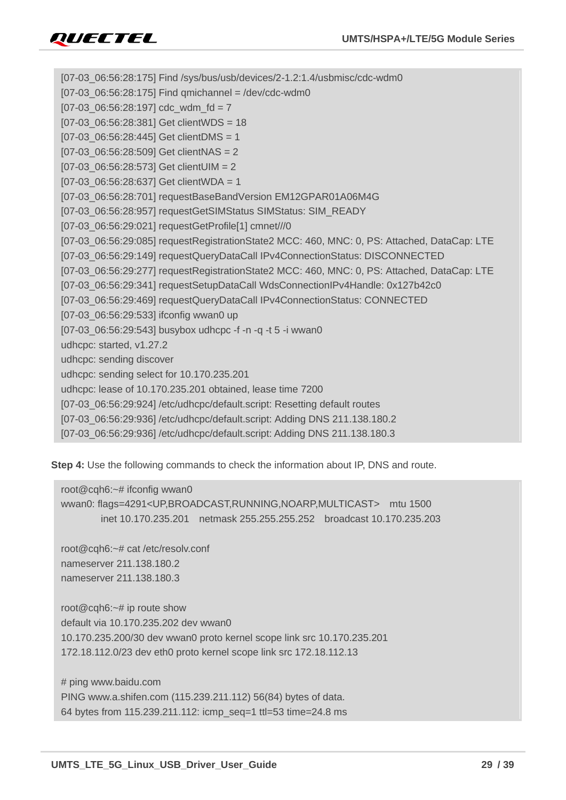[07-03\_06:56:28:175] Find /sys/bus/usb/devices/2-1.2:1.4/usbmisc/cdc-wdm0  $[07-03 \ 06:56:28:175]$  Find qmichannel = /dev/cdc-wdm0  $[07-03]$   $06:56:28:197$  cdc\_wdm\_fd = 7 [07-03\_06:56:28:381] Get clientWDS = 18 [07-03\_06:56:28:445] Get clientDMS = 1 [07-03\_06:56:28:509] Get clientNAS = 2  $[07-03 \ 06:56:28:573]$  Get clientUIM = 2 [07-03\_06:56:28:637] Get clientWDA = 1 [07-03\_06:56:28:701] requestBaseBandVersion EM12GPAR01A06M4G [07-03\_06:56:28:957] requestGetSIMStatus SIMStatus: SIM\_READY [07-03\_06:56:29:021] requestGetProfile[1] cmnet///0 [07-03\_06:56:29:085] requestRegistrationState2 MCC: 460, MNC: 0, PS: Attached, DataCap: LTE [07-03\_06:56:29:149] requestQueryDataCall IPv4ConnectionStatus: DISCONNECTED [07-03\_06:56:29:277] requestRegistrationState2 MCC: 460, MNC: 0, PS: Attached, DataCap: LTE [07-03\_06:56:29:341] requestSetupDataCall WdsConnectionIPv4Handle: 0x127b42c0 [07-03\_06:56:29:469] requestQueryDataCall IPv4ConnectionStatus: CONNECTED [07-03\_06:56:29:533] ifconfig wwan0 up [07-03\_06:56:29:543] busybox udhcpc -f -n -q -t 5 -i wwan0 udhcpc: started, v1.27.2 udhcpc: sending discover udhcpc: sending select for 10.170.235.201 udhcpc: lease of 10.170.235.201 obtained, lease time 7200 [07-03\_06:56:29:924] /etc/udhcpc/default.script: Resetting default routes [07-03\_06:56:29:936] /etc/udhcpc/default.script: Adding DNS 211.138.180.2 [07-03\_06:56:29:936] /etc/udhcpc/default.script: Adding DNS 211.138.180.3

**Step 4:** Use the following commands to check the information about IP, DNS and route.

```
root@cqh6:~# ifconfig wwan0
wwan0: flags=4291<UP,BROADCAST,RUNNING,NOARP,MULTICAST> mtu 1500
         inet 10.170.235.201 netmask 255.255.255.252 broadcast 10.170.235.203
root@cqh6:~# cat /etc/resolv.conf 
nameserver 211.138.180.2
nameserver 211.138.180.3
root@cqh6:~# ip route show
default via 10.170.235.202 dev wwan0 
10.170.235.200/30 dev wwan0 proto kernel scope link src 10.170.235.201 
172.18.112.0/23 dev eth0 proto kernel scope link src 172.18.112.13
# ping www.baidu.com
PING www.a.shifen.com (115.239.211.112) 56(84) bytes of data.
64 bytes from 115.239.211.112: icmp_seq=1 ttl=53 time=24.8 ms
```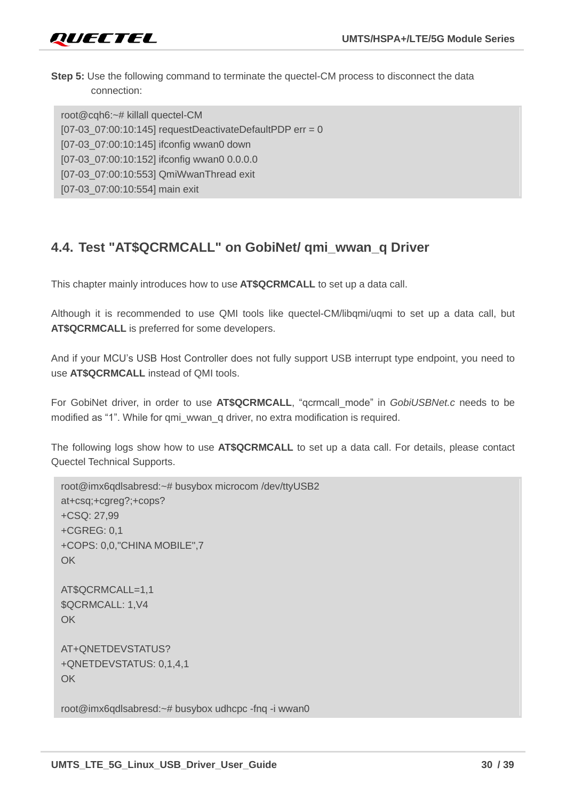**Step 5:** Use the following command to terminate the quectel-CM process to disconnect the data connection:

root@cqh6:~# killall quectel-CM  $[07-03]$  07:00:10:145] requestDeactivateDefaultPDP err = 0 [07-03\_07:00:10:145] ifconfig wwan0 down [07-03\_07:00:10:152] ifconfig wwan0 0.0.0.0 [07-03\_07:00:10:553] QmiWwanThread exit [07-03\_07:00:10:554] main exit

# <span id="page-30-0"></span>**4.4. Test "AT\$QCRMCALL" on GobiNet/ qmi\_wwan\_q Driver**

This chapter mainly introduces how to use **AT\$QCRMCALL** to set up a data call.

Although it is recommended to use QMI tools like quectel-CM/libqmi/uqmi to set up a data call, but **AT\$QCRMCALL** is preferred for some developers.

And if your MCU's USB Host Controller does not fully support USB interrupt type endpoint, you need to use **AT\$QCRMCALL** instead of QMI tools.

For GobiNet driver, in order to use **AT\$QCRMCALL**, "qcrmcall\_mode" in *GobiUSBNet.c* needs to be modified as "1". While for qmi\_wwan\_q driver, no extra modification is required.

The following logs show how to use **AT\$QCRMCALL** to set up a data call. For details, please contact Quectel Technical Supports.

```
root@imx6qdlsabresd:~# busybox microcom /dev/ttyUSB2
at+csq;+cgreg?;+cops?
+CSQ: 27,99
+CGREG: 0,1
+COPS: 0,0,"CHINA MOBILE",7
OK
AT$QCRMCALL=1,1
$QCRMCALL: 1,V4
OK
AT+QNETDEVSTATUS?
+QNETDEVSTATUS: 0,1,4,1
OK
```
root@imx6qdlsabresd:~# busybox udhcpc -fnq -i wwan0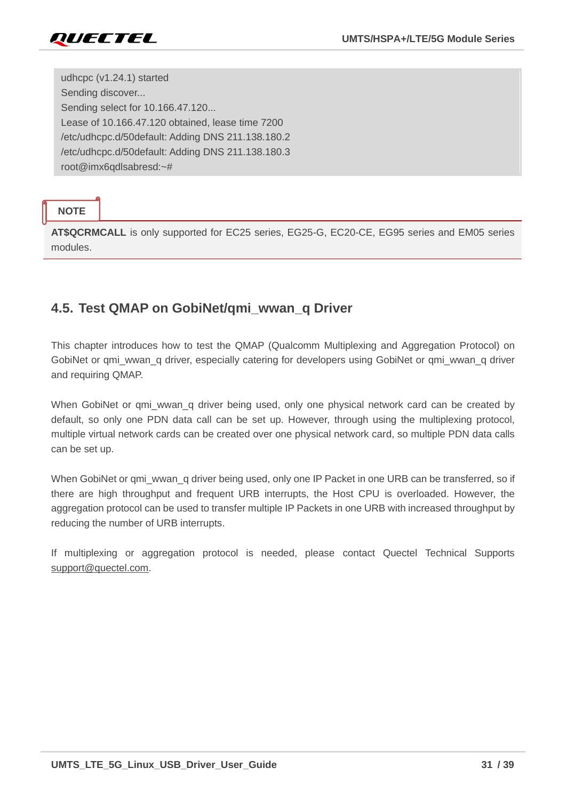

udhcpc (v1.24.1) started Sending discover... Sending select for 10.166.47.120... Lease of 10.166.47.120 obtained, lease time 7200 /etc/udhcpc.d/50default: Adding DNS 211.138.180.2 /etc/udhcpc.d/50default: Adding DNS 211.138.180.3 root@imx6qdlsabresd:~#

#### **NOTE**

**AT\$QCRMCALL** is only supported for EC25 series, EG25-G, EC20-CE, EG95 series and EM05 series modules.

# <span id="page-31-0"></span>**4.5. Test QMAP on GobiNet/qmi\_wwan\_q Driver**

This chapter introduces how to test the QMAP (Qualcomm Multiplexing and Aggregation Protocol) on GobiNet or qmi\_wwan\_q driver, especially catering for developers using GobiNet or qmi\_wwan\_q driver and requiring QMAP.

When GobiNet or qmi wwan q driver being used, only one physical network card can be created by default, so only one PDN data call can be set up. However, through using the multiplexing protocol, multiple virtual network cards can be created over one physical network card, so multiple PDN data calls can be set up.

When GobiNet or qmi\_wwan\_q driver being used, only one IP Packet in one URB can be transferred, so if there are high throughput and frequent URB interrupts, the Host CPU is overloaded. However, the aggregation protocol can be used to transfer multiple IP Packets in one URB with increased throughput by reducing the number of URB interrupts.

If multiplexing or aggregation protocol is needed, please contact Quectel Technical Supports [support@quectel.com.](mailto:support@quectel.com)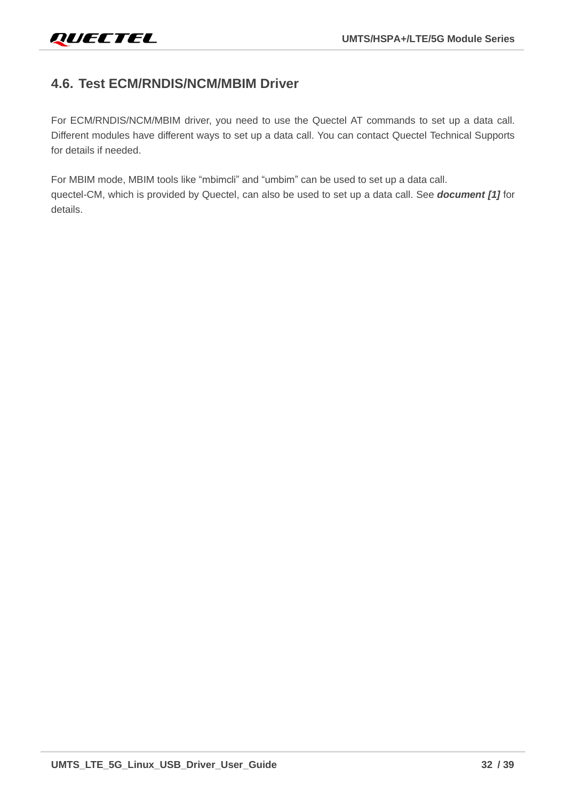# <span id="page-32-0"></span>**4.6. Test ECM/RNDIS/NCM/MBIM Driver**

For ECM/RNDIS/NCM/MBIM driver, you need to use the Quectel AT commands to set up a data call. Different modules have different ways to set up a data call. You can contact Quectel Technical Supports for details if needed.

For MBIM mode, MBIM tools like "mbimcli" and "umbim" can be used to set up a data call. quectel-CM, which is provided by Quectel, can also be used to set up a data call. See *document [\[1\]](#page-38-3)* for details.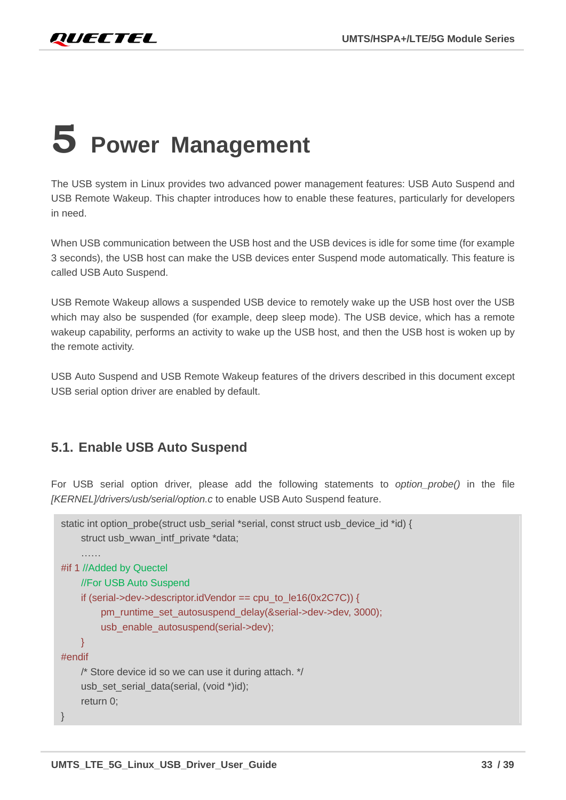# <span id="page-33-0"></span>**5 Power Management**

The USB system in Linux provides two advanced power management features: USB Auto Suspend and USB Remote Wakeup. This chapter introduces how to enable these features, particularly for developers in need.

When USB communication between the USB host and the USB devices is idle for some time (for example 3 seconds), the USB host can make the USB devices enter Suspend mode automatically. This feature is called USB Auto Suspend.

USB Remote Wakeup allows a suspended USB device to remotely wake up the USB host over the USB which may also be suspended (for example, deep sleep mode). The USB device, which has a remote wakeup capability, performs an activity to wake up the USB host, and then the USB host is woken up by the remote activity.

USB Auto Suspend and USB Remote Wakeup features of the drivers described in this document except USB serial option driver are enabled by default.

# <span id="page-33-1"></span>**5.1. Enable USB Auto Suspend**

For USB serial option driver, please add the following statements to *option\_probe()* in the file *[KERNEL]/drivers/usb/serial/option.c* to enable USB Auto Suspend feature.

```
static int option_probe(struct usb_serial *serial, const struct usb_device_id *id) {
    struct usb_wwan_intf_private *data;
    ……
#if 1 //Added by Quectel
    //For USB Auto Suspend
    if (serial->dev->descriptor.idVendor == cpu_to_le16(0x2C7C)) {
         pm_runtime_set_autosuspend_delay(&serial->dev->dev, 3000);
        usb_enable_autosuspend(serial->dev);
    }
#endif
    /* Store device id so we can use it during attach. */
    usb_set_serial_data(serial, (void *)id);
    return 0;
}
```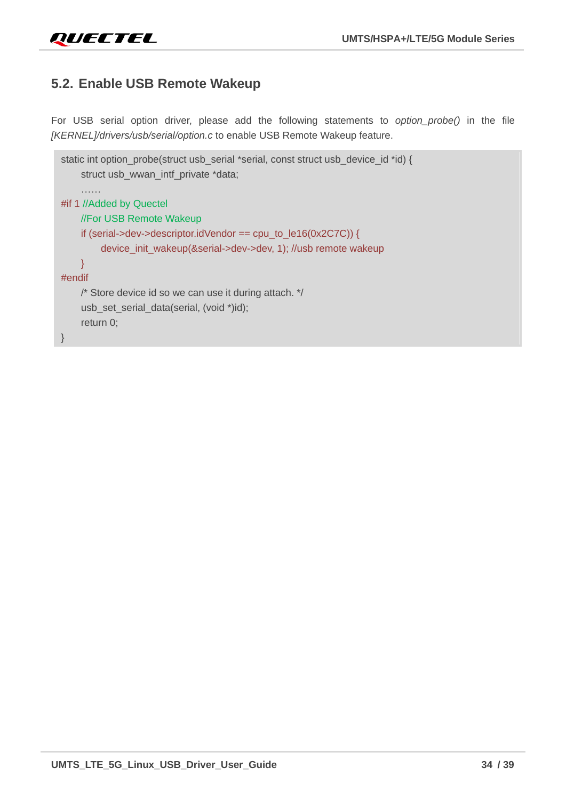# <span id="page-34-0"></span>**5.2. Enable USB Remote Wakeup**

For USB serial option driver, please add the following statements to *option\_probe()* in the file *[KERNEL]/drivers/usb/serial/option.c* to enable USB Remote Wakeup feature.

```
static int option_probe(struct usb_serial *serial, const struct usb_device_id *id) {
    struct usb_wwan_intf_private *data;
    ……
#if 1 //Added by Quectel
    //For USB Remote Wakeup
    if (serial->dev->descriptor.idVendor == cpu_to_le16(0x2C7C)) {
         device_init_wakeup(&serial->dev->dev, 1); //usb remote wakeup
    }
#endif
    /* Store device id so we can use it during attach. */
    usb_set_serial_data(serial, (void *)id);
    return 0;
}
```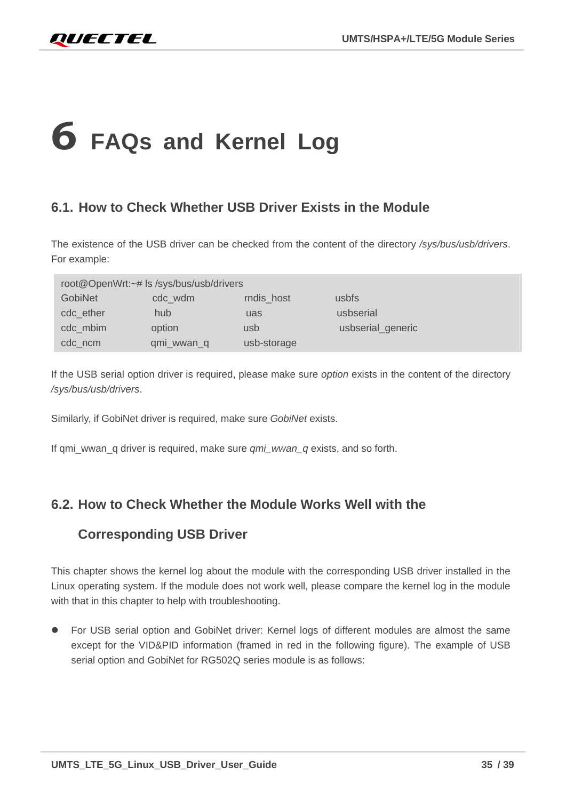# <span id="page-35-0"></span>**6 FAQs and Kernel Log**

# <span id="page-35-1"></span>**6.1. How to Check Whether USB Driver Exists in the Module**

The existence of the USB driver can be checked from the content of the directory */sys/bus/usb/drivers*. For example:

|                | root@OpenWrt:~# ls /sys/bus/usb/drivers |             |                   |
|----------------|-----------------------------------------|-------------|-------------------|
| <b>GobiNet</b> | cdc_wdm                                 | rndis_host  | usbfs             |
| cdc ether      | hub                                     | uas         | usbserial         |
| cdc_mbim       | option                                  | usb         | usbserial_generic |
| cdc_ncm        | qmi_wwan_q                              | usb-storage |                   |

If the USB serial option driver is required, please make sure *option* exists in the content of the directory */sys/bus/usb/drivers*.

Similarly, if GobiNet driver is required, make sure *GobiNet* exists.

If qmi\_wwan\_q driver is required, make sure *qmi\_wwan\_q* exists, and so forth.

# <span id="page-35-2"></span>**6.2. How to Check Whether the Module Works Well with the**

### **Corresponding USB Driver**

This chapter shows the kernel log about the module with the corresponding USB driver installed in the Linux operating system. If the module does not work well, please compare the kernel log in the module with that in this chapter to help with troubleshooting.

● For USB serial option and GobiNet driver: Kernel logs of different modules are almost the same except for the VID&PID information (framed in red in the following figure). The example of USB serial option and GobiNet for RG502Q series module is as follows: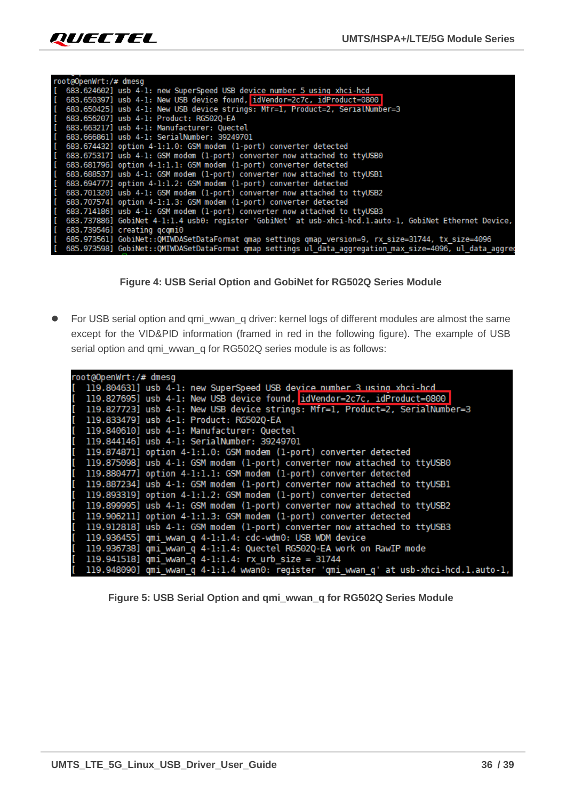

| root@OpenWrt:/# dmesg |                                                                                                            |
|-----------------------|------------------------------------------------------------------------------------------------------------|
|                       | [ 683.624602] usb 4-1: new SuperSpeed USB device number 5 using xhci-hcd                                   |
|                       | [ 683.650397] usb 4-1: New USB device found, idVendor=2c7c, idProduct=0800                                 |
|                       | [ 683.650425] usb 4-1: New USB device strings: Mtr=1, Product=2, SerialNumber=3                            |
|                       | [ 683.656207] usb 4-1: Product: RG5020-EA                                                                  |
|                       | [ 683.663217] usb 4-1: Manufacturer: Quectel                                                               |
|                       | [ 683.666861] usb 4-1: SerialNumber: 39249701                                                              |
|                       | [ 683.674432] option 4-1:1.0: GSM modem (1-port) converter detected                                        |
|                       | [ 683.675317] usb 4-1: GSM modem (1-port) converter now attached to ttyUSB0                                |
|                       | [ 683.681796] option 4-1:1.1: GSM modem (1-port) converter detected                                        |
|                       | [ 683.688537] usb 4-1: GSM modem (1-port) converter now attached to ttyUSB1                                |
|                       | [ 683.694777] option 4-1:1.2: GSM modem (1-port) converter detected                                        |
|                       | [ 683.701320] usb 4-1: GSM modem (1-port) converter now attached to ttyUSB2                                |
|                       | [ 683.707574] option 4-1:1.3: GSM modem (1-port) converter detected                                        |
|                       | [ 683.714186] usb 4-1: GSM modem (1-port) converter now attached to ttyUSB3                                |
|                       | [ 683.737886] GobiNet 4-1:1.4 usb0: register 'GobiNet' at usb-xhci-hcd.1.auto-1, GobiNet Ethernet Device,  |
|                       | [ 683.739546] creating qcqmi0                                                                              |
|                       | [ 685.973561] GobiNet::QMIWDASetDataFormat qmap settings qmap_version=9, rx_size=31744, tx_size=4096       |
|                       | [ 685.973598] GobiNet::QMIWDASetDataFormat qmap settings ul data aggregation max size=4096, ul data aggreg |



<span id="page-36-0"></span>● For USB serial option and qmi\_wwan\_q driver: kernel logs of different modules are almost the same except for the VID&PID information (framed in red in the following figure). The example of USB serial option and qmi\_wwan\_q for RG502Q series module is as follows:

| root@OpenWrt:/# dmesg                                                                   |
|-----------------------------------------------------------------------------------------|
| [ 119.804631] usb 4-1: new SuperSpeed USB device number 3 using xhci-hcd                |
| [ 119.827695] usb 4-1: New USB device found, idVendor=2c7c, idProduct=0800              |
| [ 119.827723] usb 4-1: New USB device strings: Mfr=1, Product=2, SerialNumber=3         |
| [ 119.833479] usb 4-1: Product: RG502Q-EA                                               |
| [ 119.840610] usb 4-1: Manufacturer: Quectel                                            |
| [ 119.844146] usb 4-1: SerialNumber: 39249701                                           |
| [ 119.874871] option 4-1:1.0: GSM modem (1-port) converter detected                     |
| [ 119.875098] usb 4-1: GSM modem (1-port) converter now attached to ttyUSB0             |
| [ 119.880477] option 4-1:1.1: GSM modem (1-port) converter detected                     |
| [ 119.887234] usb 4-1: GSM modem (1-port) converter now attached to ttyUSB1             |
| [ 119.893319] option 4-1:1.2: GSM modem (1-port) converter detected                     |
| [ 119.899995] usb 4-1: GSM modem (1-port) converter now attached to ttyUSB2             |
| [ 119.906211] option 4-1:1.3: GSM modem (1-port) converter detected                     |
| [ 119.912818] usb 4-1: GSM modem (1-port) converter now attached to ttyUSB3             |
| [ 119.936455] qmi_wwan_q 4-1:1.4: cdc-wdm0: USB WDM device                              |
| [ 119.936738] qmi_wwan_q 4-1:1.4: Quectel RG502Q-EA work on RawIP mode                  |
| $[119.941518]$ qmi wwan q 4-1:1.4: rx urb size = 31744                                  |
| [ 119.948090] qmi wwan q 4-1:1.4 wwan0: register 'qmi wwan q' at usb-xhci-hcd.1.auto-1, |

<span id="page-36-1"></span>**Figure 5: USB Serial Option and qmi\_wwan\_q for RG502Q Series Module**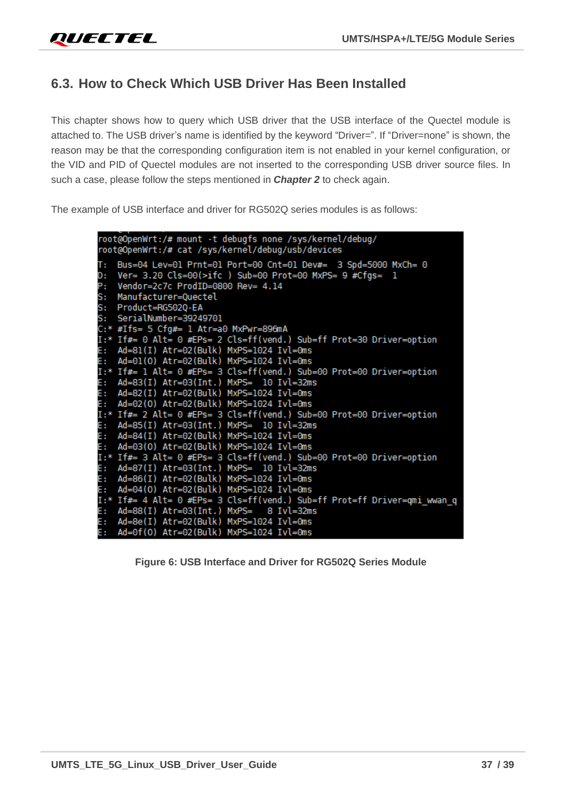# <span id="page-37-0"></span>**6.3. How to Check Which USB Driver Has Been Installed**

This chapter shows how to query which USB driver that the USB interface of the Quectel module is attached to. The USB driver's name is identified by the keyword "Driver=". If "Driver=none" is shown, the reason may be that the corresponding configuration item is not enabled in your kernel configuration, or the VID and PID of Quectel modules are not inserted to the corresponding USB driver source files. In such a case, please follow the steps mentioned in *Chapter [2](#page-10-0)* to check again.

The example of USB interface and driver for RG502Q series modules is as follows:

```
root@OpenWrt:/# mount -t debugfs none /sys/kernel/debug/
root@OpenWrt:/# cat /sys/kernel/debug/usb/devices
T: Bus=04 Lev=01 Prnt=01 Port=00 Cnt=01 Dev#= 3 Spd=5000 MxCh= 0
D: Ver= 3.20 Cls=00(>ifc ) Sub=00 Prot=00 MxPS= 9 #Cfgs= 1
P: Vendor=2c7c ProdID=0800 Rev= 4.14
S: Manufacturer=Quectel
S: Product=RG5020-EA
S: SerialNumber=39249701
C:* #Ifs= 5 Cfg#= 1 Atr=a0 MxPwr=896mA
I:* If#= 0 Alt= 0 #EPs= 2 Cls=ff(vend.) Sub=ff Prot=30 Driver=option
   Ad=81(I) Atr=02(Bulk) MxPS=1024 Ivl=0ms
E:
   Ad=01(0) Atr=02(Bulk) MxPS=1024 Ivl=0ms
E:
I:* If#= 1 Alt= 0 #EPs= 3 Cls=ff(vend.) Sub=00 Prot=00 Driver=option
   Ad=83(I) Atr=03(Int.) MxPS= 10 Ivl=32ms
E:
   Ad=82(I) Atr=02(Bulk) MxPS=1024 Ivl=0ms
E:
   Ad=02(0) Atr=02(Bulk) MxPS=1024 Ivl=0ms
E:
I:* If#= 2 Alt= 0 #EPs= 3 Cls=ff(vend.) Sub=00 Prot=00 Driver=option
   Ad=85(I) Atr=03(Int.) MxPS= 10 Ivl=32ms
E:
   Ad=84(I) Atr=02(Bulk) MxPS=1024 Ivl=0ms
E:
E:
   Ad=03(0) Atr=02(Bulk) MxPS=1024 Ivl=0ms
I:* If#= 3 Alt= 0 #EPs= 3 Cls=ff(vend.) Sub=00 Prot=00 Driver=option
   Ad=87(I) Atr=03(Int.) MxPS= 10 Ivl=32ms
E:
   Ad=86(I) Atr=02(Bulk) MxPS=1024 Ivl=0ms
E:
   Ad=04(0) Atr=02(Bulk) MxPS=1024 Ivl=0ms
E:
I:* If#= 4 Alt= 0 #EPs= 3 Cls=ff(vend.) Sub=ff Prot=ff Driver=qmi_wwan_q
E: Ad=88(I) Atr=03(Int.) MxPS= 8 Ivl=32ms
   Ad=8e(I) Atr=02(Bulk) MxPS=1024 Ivl=0ms
E:
E:
   Ad=0f(0) Atr=02(Bulk) MxPS=1024 Ivl=0ms
```
<span id="page-37-1"></span>**Figure 6: USB Interface and Driver for RG502Q Series Module**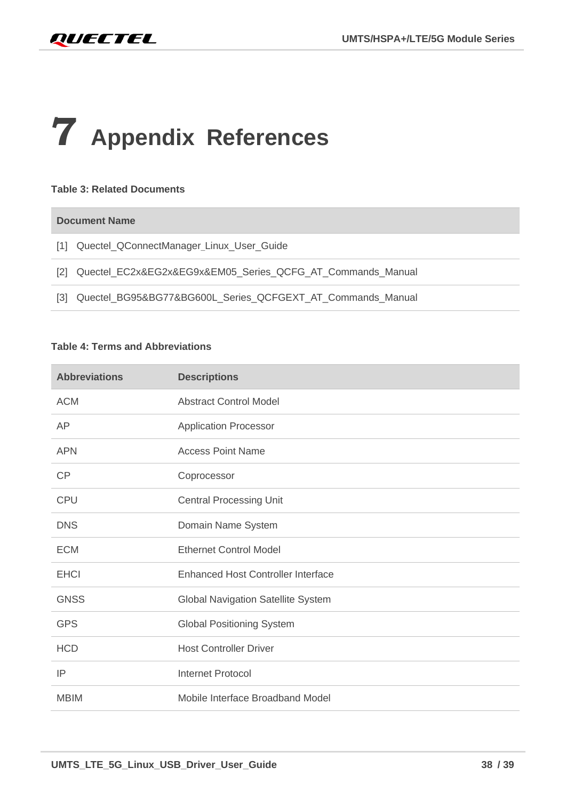# <span id="page-38-0"></span>**7 Appendix References**

#### **Table 3: Related Documents**

#### **Document Name**

- <span id="page-38-3"></span>[1] Quectel\_QConnectManager\_Linux\_User\_Guide
- <span id="page-38-1"></span>[2] Quectel\_EC2x&EG2x&EG9x&EM05\_Series\_QCFG\_AT\_Commands\_Manual
- <span id="page-38-2"></span>[3] Quectel\_BG95&BG77&BG600L\_Series\_QCFGEXT\_AT\_Commands\_Manual

#### **Table 4: Terms and Abbreviations**

| <b>Abbreviations</b> | <b>Descriptions</b>                       |
|----------------------|-------------------------------------------|
| <b>ACM</b>           | <b>Abstract Control Model</b>             |
| AP                   | <b>Application Processor</b>              |
| <b>APN</b>           | <b>Access Point Name</b>                  |
| CP                   | Coprocessor                               |
| <b>CPU</b>           | <b>Central Processing Unit</b>            |
| <b>DNS</b>           | Domain Name System                        |
| <b>ECM</b>           | <b>Ethernet Control Model</b>             |
| <b>EHCI</b>          | <b>Enhanced Host Controller Interface</b> |
| <b>GNSS</b>          | <b>Global Navigation Satellite System</b> |
| <b>GPS</b>           | <b>Global Positioning System</b>          |
| <b>HCD</b>           | <b>Host Controller Driver</b>             |
| IP                   | <b>Internet Protocol</b>                  |
| <b>MBIM</b>          | Mobile Interface Broadband Model          |